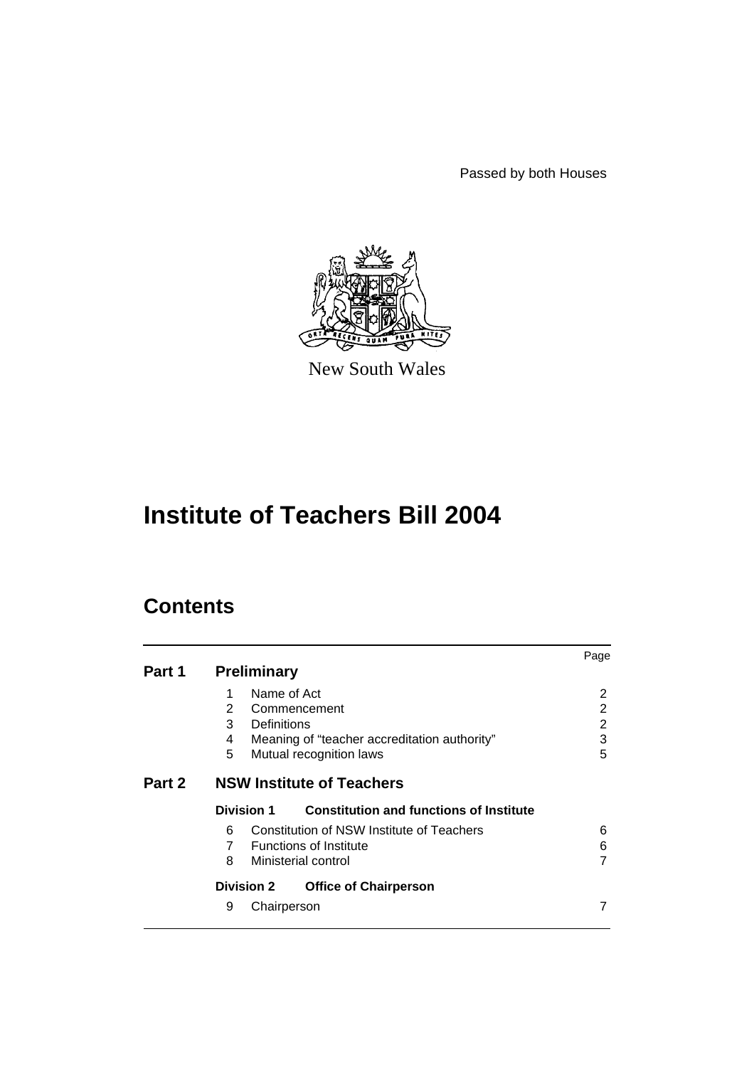Passed by both Houses



New South Wales

# **Institute of Teachers Bill 2004**

## **Contents**

|        |                                                              | Page |  |  |
|--------|--------------------------------------------------------------|------|--|--|
| Part 1 | <b>Preliminary</b>                                           |      |  |  |
|        | Name of Act<br>1                                             | 2    |  |  |
|        | $\mathbf{2}^{\circ}$<br>Commencement                         | 2    |  |  |
|        | 3<br>Definitions                                             | 2    |  |  |
|        | Meaning of "teacher accreditation authority"<br>4            | 3    |  |  |
|        | 5<br>Mutual recognition laws                                 | 5    |  |  |
| Part 2 | <b>NSW Institute of Teachers</b>                             |      |  |  |
|        | <b>Constitution and functions of Institute</b><br>Division 1 |      |  |  |
|        | Constitution of NSW Institute of Teachers<br>6               | 6    |  |  |
|        | $7^{\circ}$<br><b>Functions of Institute</b>                 | 6    |  |  |
|        | 8<br>Ministerial control                                     |      |  |  |
|        | <b>Division 2</b><br><b>Office of Chairperson</b>            |      |  |  |
|        | 9<br>Chairperson                                             |      |  |  |
|        |                                                              |      |  |  |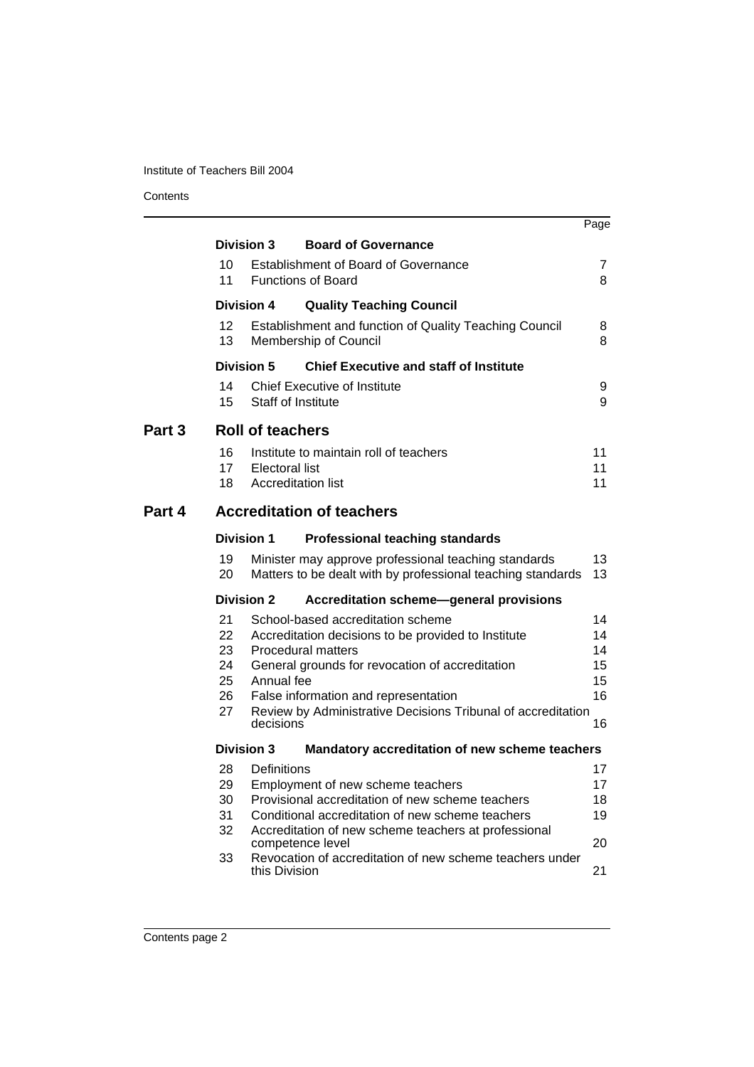**Contents** 

|        |                                                                     |                                                    |                                                                                                                                                                                                                                                                                  | Page                                   |  |  |
|--------|---------------------------------------------------------------------|----------------------------------------------------|----------------------------------------------------------------------------------------------------------------------------------------------------------------------------------------------------------------------------------------------------------------------------------|----------------------------------------|--|--|
|        |                                                                     | <b>Division 3</b>                                  | <b>Board of Governance</b>                                                                                                                                                                                                                                                       |                                        |  |  |
|        | 10<br>11                                                            |                                                    | Establishment of Board of Governance<br><b>Functions of Board</b>                                                                                                                                                                                                                | 7<br>8                                 |  |  |
|        |                                                                     | <b>Division 4</b>                                  | <b>Quality Teaching Council</b>                                                                                                                                                                                                                                                  |                                        |  |  |
|        | 12 <sup>2</sup><br>13                                               |                                                    | <b>Establishment and function of Quality Teaching Council</b><br>Membership of Council                                                                                                                                                                                           | 8<br>8                                 |  |  |
|        |                                                                     | Division 5                                         | <b>Chief Executive and staff of Institute</b>                                                                                                                                                                                                                                    |                                        |  |  |
|        | 14<br>15                                                            | Staff of Institute                                 | <b>Chief Executive of Institute</b>                                                                                                                                                                                                                                              | 9<br>9                                 |  |  |
| Part 3 | <b>Roll of teachers</b>                                             |                                                    |                                                                                                                                                                                                                                                                                  |                                        |  |  |
|        | 16<br>17<br>18                                                      | <b>Electoral list</b><br><b>Accreditation list</b> | Institute to maintain roll of teachers                                                                                                                                                                                                                                           | 11<br>11<br>11                         |  |  |
| Part 4 | <b>Accreditation of teachers</b>                                    |                                                    |                                                                                                                                                                                                                                                                                  |                                        |  |  |
|        | <b>Division 1</b><br><b>Professional teaching standards</b>         |                                                    |                                                                                                                                                                                                                                                                                  |                                        |  |  |
|        | 19<br>20                                                            |                                                    | Minister may approve professional teaching standards<br>Matters to be dealt with by professional teaching standards                                                                                                                                                              | 13<br>13                               |  |  |
|        |                                                                     | <b>Division 2</b>                                  | <b>Accreditation scheme-general provisions</b>                                                                                                                                                                                                                                   |                                        |  |  |
|        | 21<br>22<br>23<br>24<br>25<br>26<br>27                              | Annual fee<br>decisions                            | School-based accreditation scheme<br>Accreditation decisions to be provided to Institute<br><b>Procedural matters</b><br>General grounds for revocation of accreditation<br>False information and representation<br>Review by Administrative Decisions Tribunal of accreditation | 14<br>14<br>14<br>15<br>15<br>16<br>16 |  |  |
|        | Mandatory accreditation of new scheme teachers<br><b>Division 3</b> |                                                    |                                                                                                                                                                                                                                                                                  |                                        |  |  |
|        | 28<br>29<br>30<br>31<br>32<br>33                                    | Definitions<br>competence level<br>this Division   | Employment of new scheme teachers<br>Provisional accreditation of new scheme teachers<br>Conditional accreditation of new scheme teachers<br>Accreditation of new scheme teachers at professional<br>Revocation of accreditation of new scheme teachers under                    | 17<br>17<br>18<br>19<br>20<br>21       |  |  |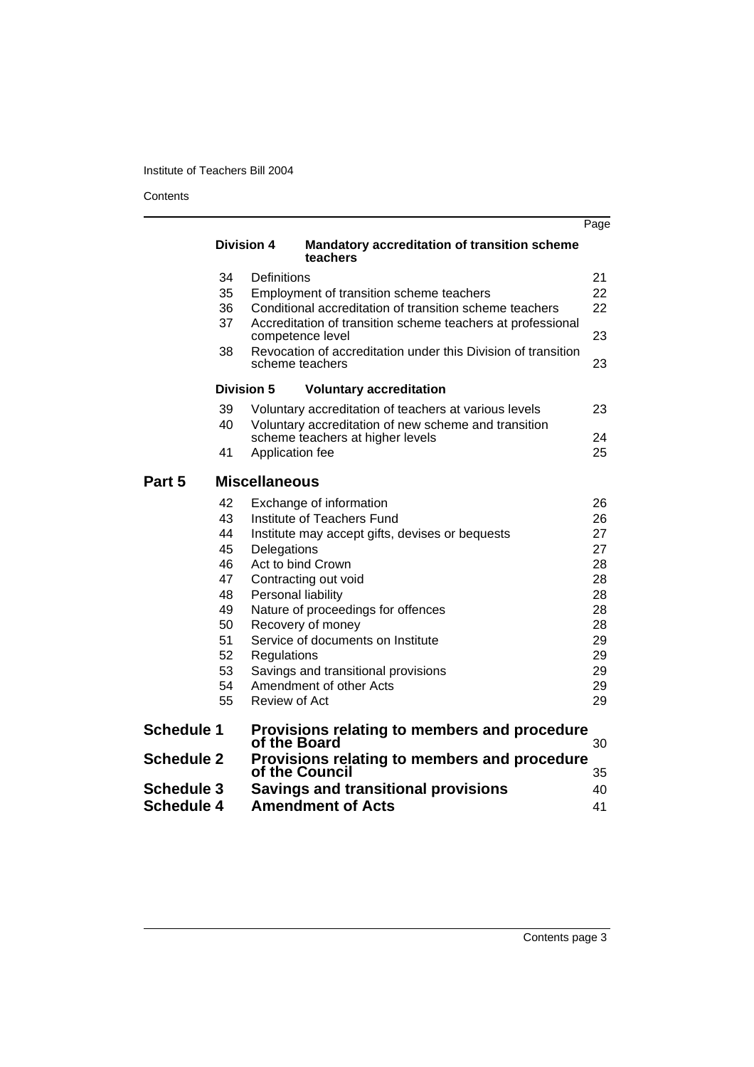**Contents** 

|                   |                   |                                                                                          | Page |
|-------------------|-------------------|------------------------------------------------------------------------------------------|------|
|                   | <b>Division 4</b> | <b>Mandatory accreditation of transition scheme</b><br>teachers                          |      |
|                   | 34                | Definitions                                                                              | 21   |
|                   | 35                | Employment of transition scheme teachers                                                 | 22   |
|                   | 36                | Conditional accreditation of transition scheme teachers                                  | 22   |
|                   | 37                | Accreditation of transition scheme teachers at professional<br>competence level          | 23   |
|                   | 38                | Revocation of accreditation under this Division of transition<br>scheme teachers         | 23   |
|                   | Division 5        | <b>Voluntary accreditation</b>                                                           |      |
|                   | 39                | Voluntary accreditation of teachers at various levels                                    | 23   |
|                   | 40                | Voluntary accreditation of new scheme and transition<br>scheme teachers at higher levels | 24   |
|                   | 41                | Application fee                                                                          | 25   |
| Part 5            |                   | <b>Miscellaneous</b>                                                                     |      |
|                   | 42                | Exchange of information                                                                  | 26   |
|                   | 43                | Institute of Teachers Fund                                                               | 26   |
|                   | 44                | Institute may accept gifts, devises or bequests                                          | 27   |
|                   | 45                | Delegations                                                                              | 27   |
|                   | 46                | Act to bind Crown                                                                        | 28   |
|                   | 47                | Contracting out void                                                                     | 28   |
|                   | 48                | Personal liability                                                                       | 28   |
|                   | 49                | Nature of proceedings for offences                                                       | 28   |
|                   | 50                | Recovery of money                                                                        | 28   |
|                   | 51                | Service of documents on Institute                                                        | 29   |
|                   | 52                | Regulations                                                                              | 29   |
|                   | 53                | Savings and transitional provisions                                                      | 29   |
|                   | 54                | Amendment of other Acts                                                                  | 29   |
|                   | 55                | <b>Review of Act</b>                                                                     | 29   |
| <b>Schedule 1</b> |                   | Provisions relating to members and procedure<br>of the Board                             | 30   |
| <b>Schedule 2</b> |                   | Provisions relating to members and procedure<br>of the Council                           | 35   |
| <b>Schedule 3</b> |                   | <b>Savings and transitional provisions</b>                                               | 40   |
| <b>Schedule 4</b> |                   | <b>Amendment of Acts</b>                                                                 | 41   |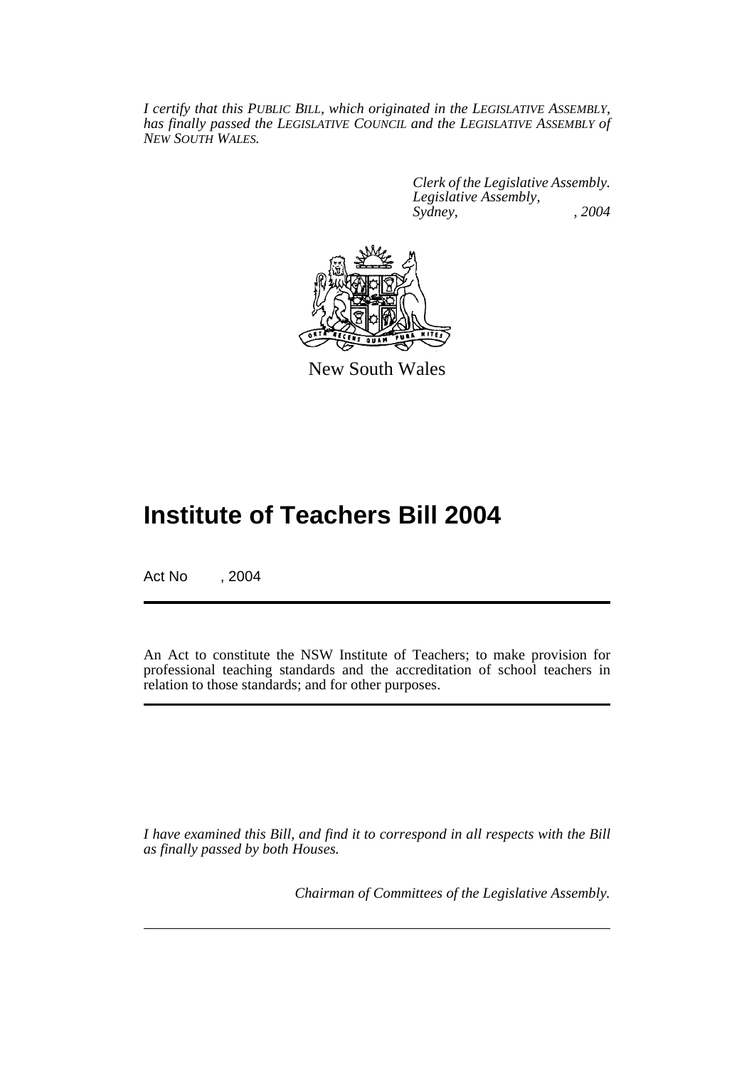*I certify that this PUBLIC BILL, which originated in the LEGISLATIVE ASSEMBLY, has finally passed the LEGISLATIVE COUNCIL and the LEGISLATIVE ASSEMBLY of NEW SOUTH WALES.*

> *Clerk of the Legislative Assembly. Legislative Assembly, Sydney, , 2004*



New South Wales

## **Institute of Teachers Bill 2004**

Act No , 2004

An Act to constitute the NSW Institute of Teachers; to make provision for professional teaching standards and the accreditation of school teachers in relation to those standards; and for other purposes.

*I have examined this Bill, and find it to correspond in all respects with the Bill as finally passed by both Houses.*

*Chairman of Committees of the Legislative Assembly.*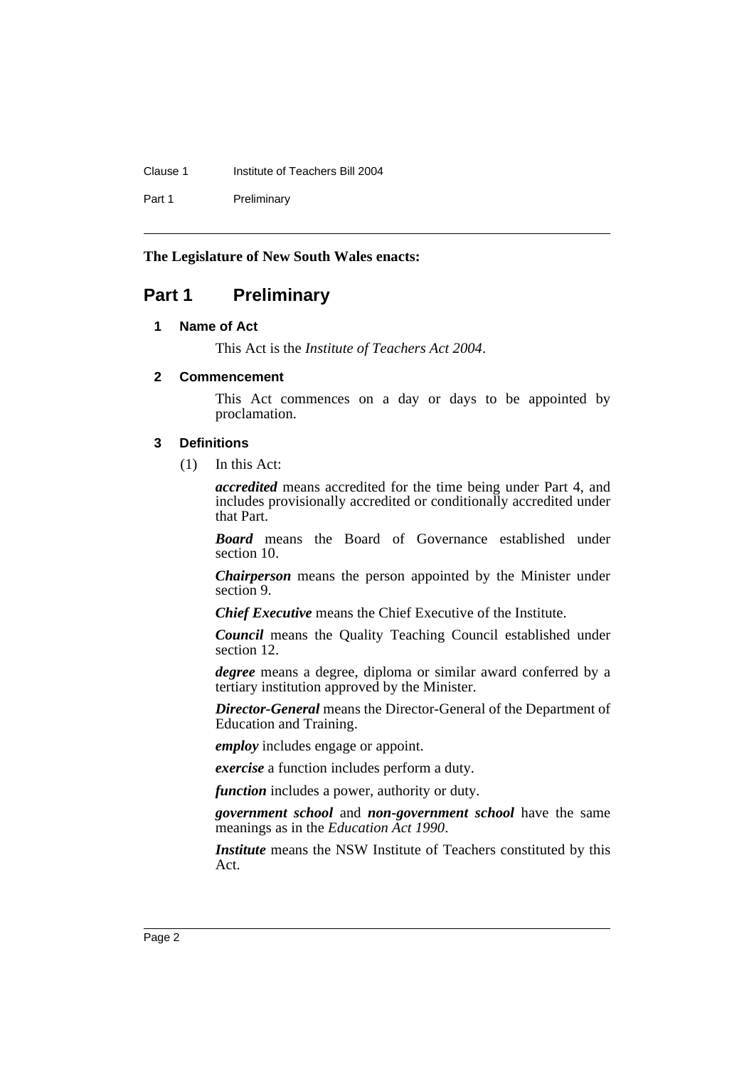#### Clause 1 Institute of Teachers Bill 2004

Part 1 Preliminary

#### **The Legislature of New South Wales enacts:**

### **Part 1 Preliminary**

#### **1 Name of Act**

This Act is the *Institute of Teachers Act 2004*.

#### **2 Commencement**

This Act commences on a day or days to be appointed by proclamation.

#### **3 Definitions**

(1) In this Act:

*accredited* means accredited for the time being under Part 4, and includes provisionally accredited or conditionally accredited under that Part.

*Board* means the Board of Governance established under section 10.

*Chairperson* means the person appointed by the Minister under section 9.

*Chief Executive* means the Chief Executive of the Institute.

*Council* means the Quality Teaching Council established under section 12.

*degree* means a degree, diploma or similar award conferred by a tertiary institution approved by the Minister.

*Director-General* means the Director-General of the Department of Education and Training.

*employ* includes engage or appoint.

*exercise* a function includes perform a duty.

*function* includes a power, authority or duty.

*government school* and *non-government school* have the same meanings as in the *Education Act 1990*.

*Institute* means the NSW Institute of Teachers constituted by this Act.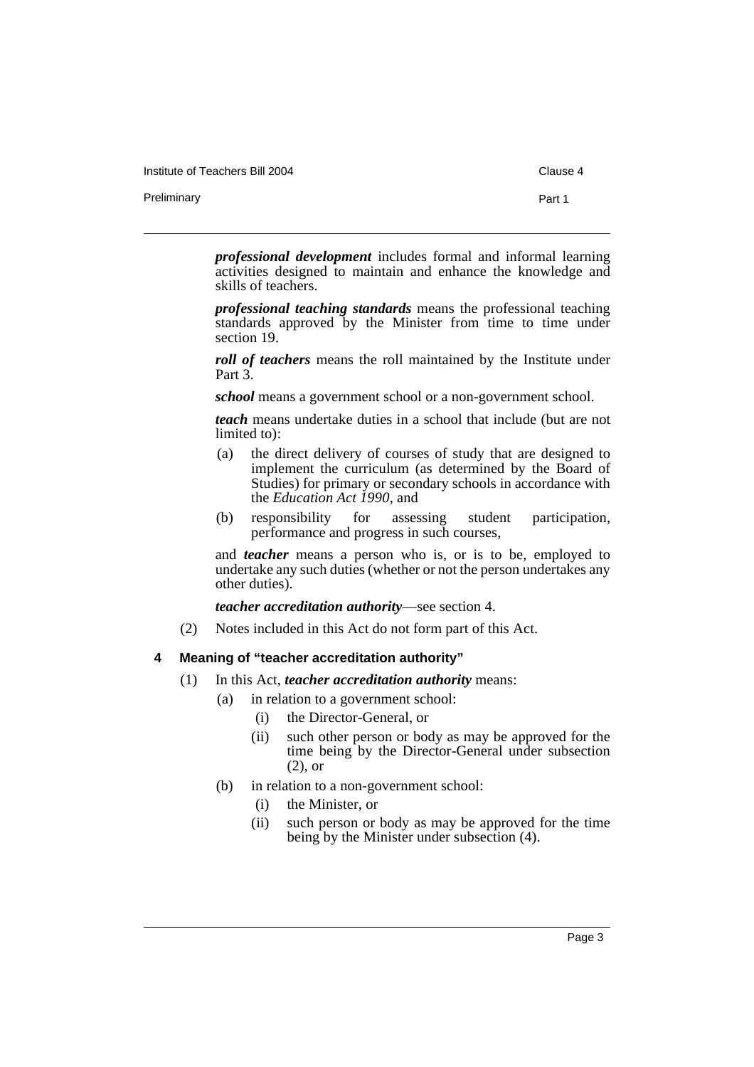Institute of Teachers Bill 2004 Clause 4

Preliminary **Preliminary** Part 1

*professional development* includes formal and informal learning activities designed to maintain and enhance the knowledge and skills of teachers.

*professional teaching standards* means the professional teaching standards approved by the Minister from time to time under section 19.

*roll of teachers* means the roll maintained by the Institute under Part 3.

*school* means a government school or a non-government school.

*teach* means undertake duties in a school that include (but are not limited to):

- (a) the direct delivery of courses of study that are designed to implement the curriculum (as determined by the Board of Studies) for primary or secondary schools in accordance with the *Education Act 1990*, and
- (b) responsibility for assessing student participation, performance and progress in such courses,

and *teacher* means a person who is, or is to be, employed to undertake any such duties (whether or not the person undertakes any other duties).

*teacher accreditation authority*—see section 4.

(2) Notes included in this Act do not form part of this Act.

#### **4 Meaning of "teacher accreditation authority"**

- (1) In this Act, *teacher accreditation authority* means:
	- (a) in relation to a government school:
		- (i) the Director-General, or
		- (ii) such other person or body as may be approved for the time being by the Director-General under subsection (2), or
	- (b) in relation to a non-government school:
		- (i) the Minister, or
		- (ii) such person or body as may be approved for the time being by the Minister under subsection (4).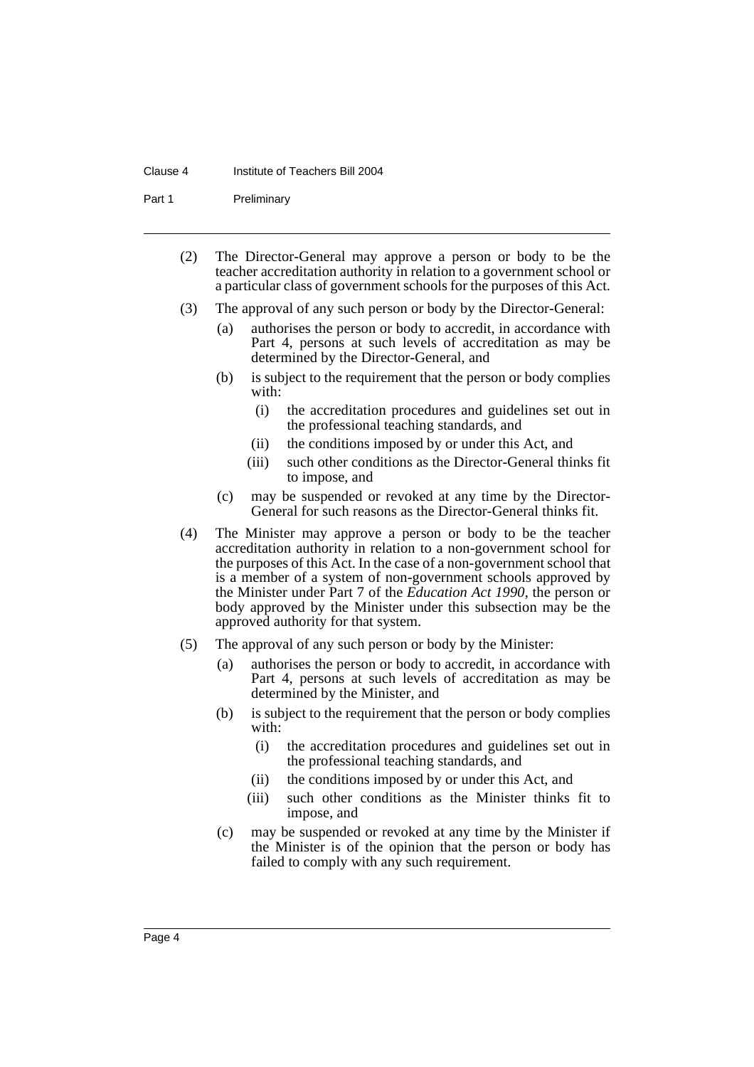#### Clause 4 Institute of Teachers Bill 2004

Part 1 Preliminary

- (2) The Director-General may approve a person or body to be the teacher accreditation authority in relation to a government school or a particular class of government schools for the purposes of this Act.
- (3) The approval of any such person or body by the Director-General:
	- (a) authorises the person or body to accredit, in accordance with Part 4, persons at such levels of accreditation as may be determined by the Director-General, and
	- (b) is subject to the requirement that the person or body complies with:
		- (i) the accreditation procedures and guidelines set out in the professional teaching standards, and
		- (ii) the conditions imposed by or under this Act, and
		- (iii) such other conditions as the Director-General thinks fit to impose, and
	- (c) may be suspended or revoked at any time by the Director-General for such reasons as the Director-General thinks fit.
- (4) The Minister may approve a person or body to be the teacher accreditation authority in relation to a non-government school for the purposes of this Act. In the case of a non-government school that is a member of a system of non-government schools approved by the Minister under Part 7 of the *Education Act 1990*, the person or body approved by the Minister under this subsection may be the approved authority for that system.
- (5) The approval of any such person or body by the Minister:
	- (a) authorises the person or body to accredit, in accordance with Part 4, persons at such levels of accreditation as may be determined by the Minister, and
	- (b) is subject to the requirement that the person or body complies with:
		- (i) the accreditation procedures and guidelines set out in the professional teaching standards, and
		- (ii) the conditions imposed by or under this Act, and
		- (iii) such other conditions as the Minister thinks fit to impose, and
	- (c) may be suspended or revoked at any time by the Minister if the Minister is of the opinion that the person or body has failed to comply with any such requirement.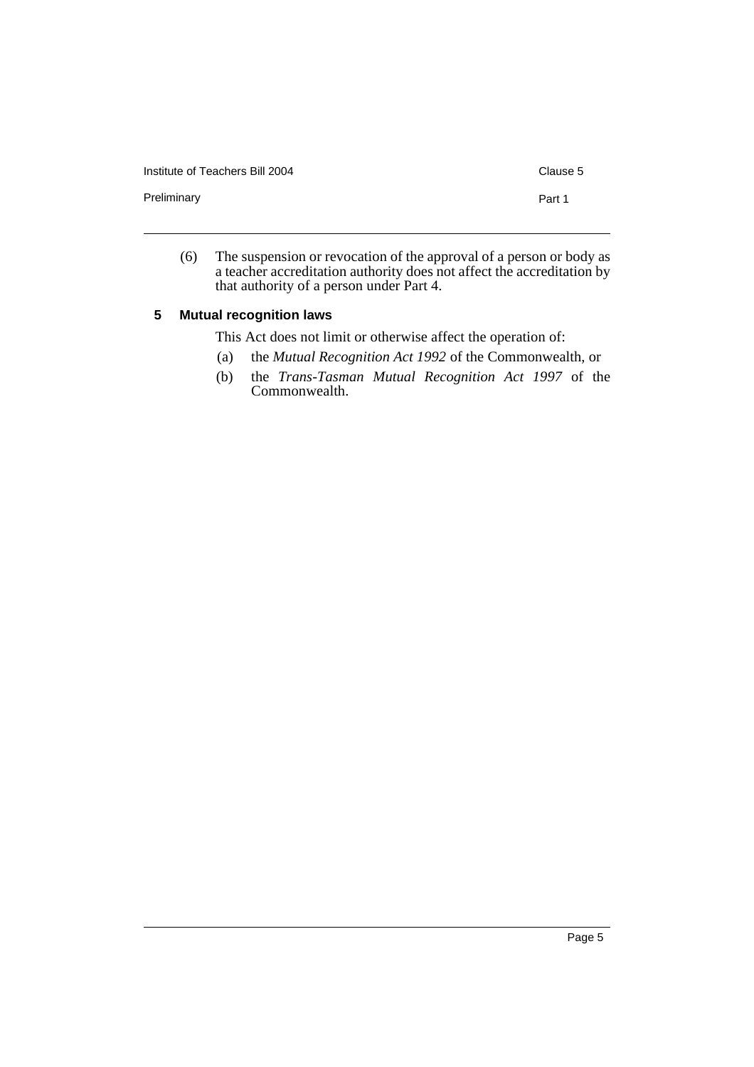Institute of Teachers Bill 2004 Clause 5

Preliminary **Part 1** 

(6) The suspension or revocation of the approval of a person or body as a teacher accreditation authority does not affect the accreditation by that authority of a person under Part 4.

#### **5 Mutual recognition laws**

This Act does not limit or otherwise affect the operation of:

- (a) the *Mutual Recognition Act 1992* of the Commonwealth, or
- (b) the *Trans-Tasman Mutual Recognition Act 1997* of the Commonwealth.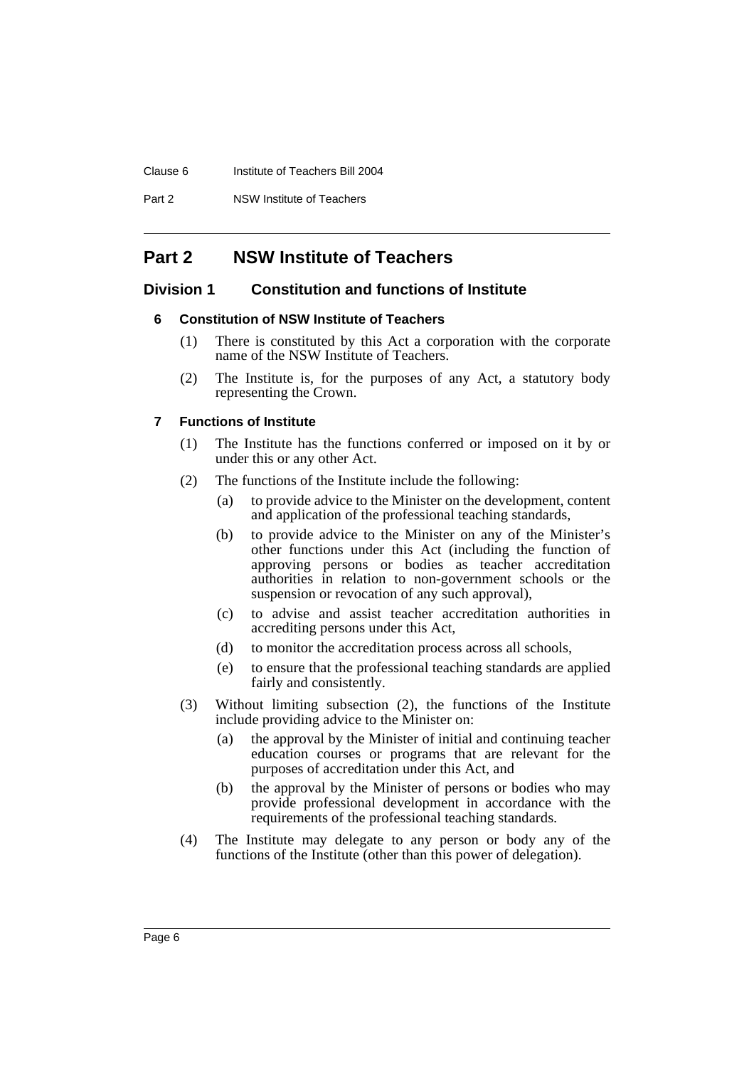#### Clause 6 Institute of Teachers Bill 2004

Part 2 NSW Institute of Teachers

### **Part 2 NSW Institute of Teachers**

#### **Division 1 Constitution and functions of Institute**

#### **6 Constitution of NSW Institute of Teachers**

- (1) There is constituted by this Act a corporation with the corporate name of the NSW Institute of Teachers.
- (2) The Institute is, for the purposes of any Act, a statutory body representing the Crown.

#### **7 Functions of Institute**

- (1) The Institute has the functions conferred or imposed on it by or under this or any other Act.
- (2) The functions of the Institute include the following:
	- (a) to provide advice to the Minister on the development, content and application of the professional teaching standards,
	- (b) to provide advice to the Minister on any of the Minister's other functions under this Act (including the function of approving persons or bodies as teacher accreditation authorities in relation to non-government schools or the suspension or revocation of any such approval),
	- (c) to advise and assist teacher accreditation authorities in accrediting persons under this Act,
	- (d) to monitor the accreditation process across all schools,
	- (e) to ensure that the professional teaching standards are applied fairly and consistently.
- (3) Without limiting subsection (2), the functions of the Institute include providing advice to the Minister on:
	- (a) the approval by the Minister of initial and continuing teacher education courses or programs that are relevant for the purposes of accreditation under this Act, and
	- (b) the approval by the Minister of persons or bodies who may provide professional development in accordance with the requirements of the professional teaching standards.
- (4) The Institute may delegate to any person or body any of the functions of the Institute (other than this power of delegation).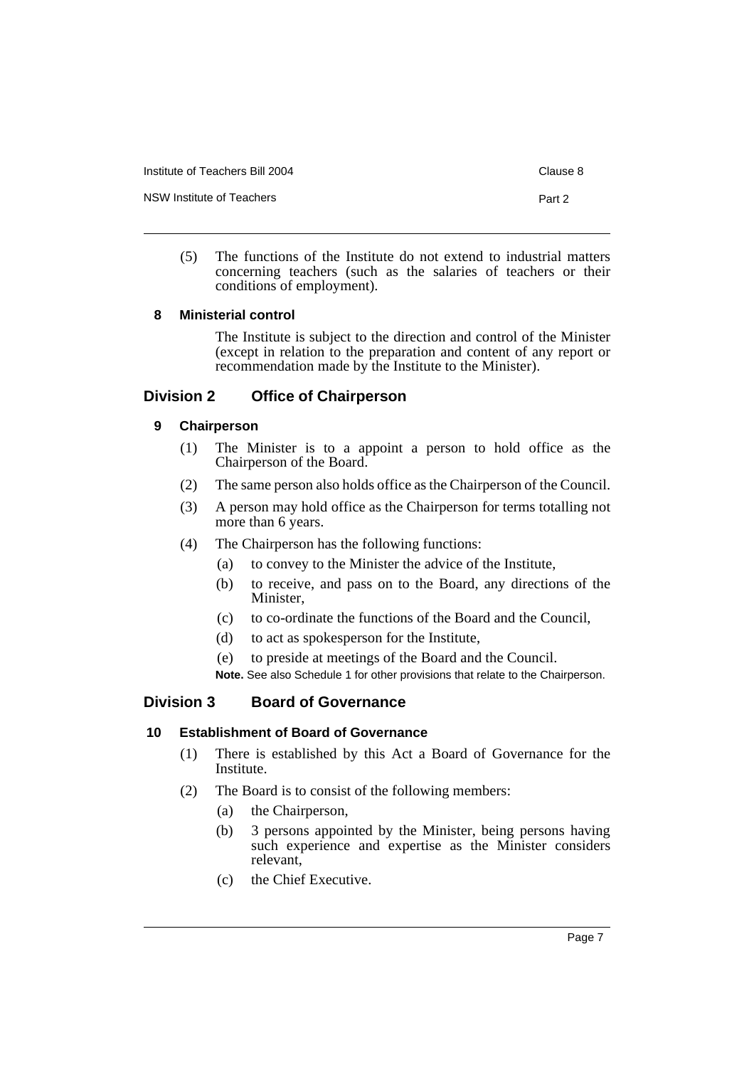Institute of Teachers Bill 2004 Clause 8

NSW Institute of Teachers **Part 2** and 2

(5) The functions of the Institute do not extend to industrial matters concerning teachers (such as the salaries of teachers or their conditions of employment).

### **8 Ministerial control**

The Institute is subject to the direction and control of the Minister (except in relation to the preparation and content of any report or recommendation made by the Institute to the Minister).

### **Division 2 Office of Chairperson**

### **9 Chairperson**

- (1) The Minister is to a appoint a person to hold office as the Chairperson of the Board.
- (2) The same person also holds office as the Chairperson of the Council.
- (3) A person may hold office as the Chairperson for terms totalling not more than 6 years.
- (4) The Chairperson has the following functions:
	- (a) to convey to the Minister the advice of the Institute,
	- (b) to receive, and pass on to the Board, any directions of the Minister,
	- (c) to co-ordinate the functions of the Board and the Council,
	- (d) to act as spokesperson for the Institute,
	- (e) to preside at meetings of the Board and the Council.

**Note.** See also Schedule 1 for other provisions that relate to the Chairperson.

### **Division 3 Board of Governance**

### **10 Establishment of Board of Governance**

- (1) There is established by this Act a Board of Governance for the Institute.
- (2) The Board is to consist of the following members:
	- (a) the Chairperson,
	- (b) 3 persons appointed by the Minister, being persons having such experience and expertise as the Minister considers relevant,
	- (c) the Chief Executive.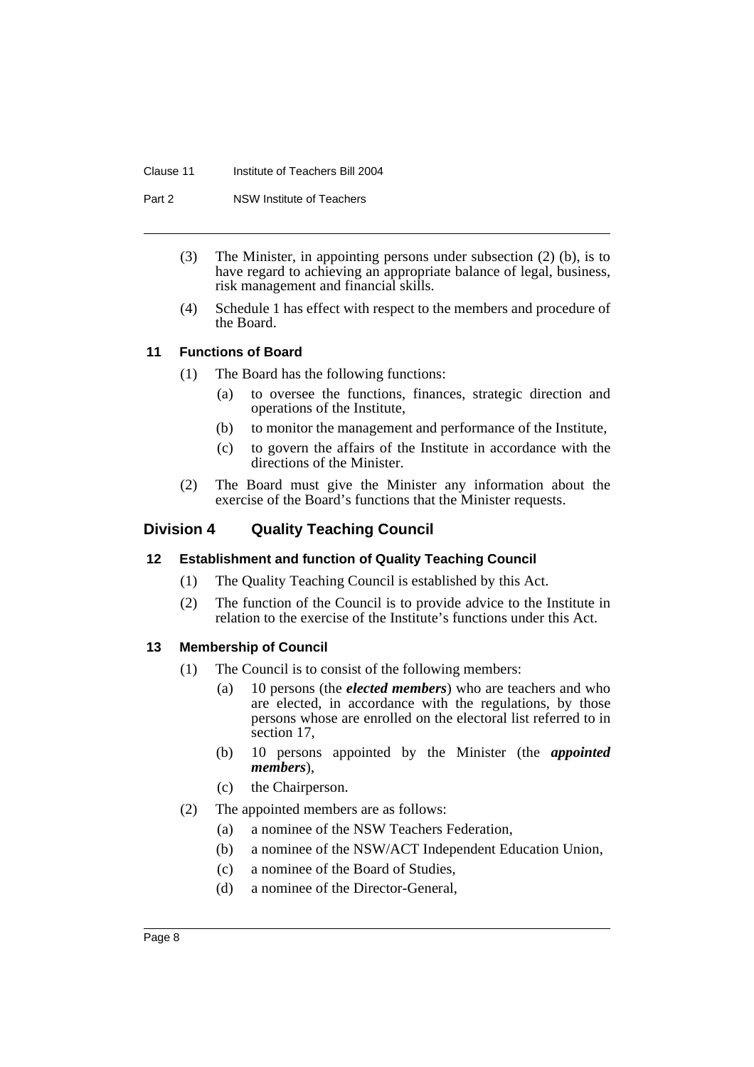#### Clause 11 Institute of Teachers Bill 2004

Part 2 **NSW** Institute of Teachers

- (3) The Minister, in appointing persons under subsection (2) (b), is to have regard to achieving an appropriate balance of legal, business, risk management and financial skills.
- (4) Schedule 1 has effect with respect to the members and procedure of the Board.

### **11 Functions of Board**

- (1) The Board has the following functions:
	- (a) to oversee the functions, finances, strategic direction and operations of the Institute,
	- (b) to monitor the management and performance of the Institute,
	- (c) to govern the affairs of the Institute in accordance with the directions of the Minister.
- (2) The Board must give the Minister any information about the exercise of the Board's functions that the Minister requests.

### **Division 4 Quality Teaching Council**

#### **12 Establishment and function of Quality Teaching Council**

- (1) The Quality Teaching Council is established by this Act.
- (2) The function of the Council is to provide advice to the Institute in relation to the exercise of the Institute's functions under this Act.

#### **13 Membership of Council**

- (1) The Council is to consist of the following members:
	- (a) 10 persons (the *elected members*) who are teachers and who are elected, in accordance with the regulations, by those persons whose are enrolled on the electoral list referred to in section 17,
	- (b) 10 persons appointed by the Minister (the *appointed members*),
	- (c) the Chairperson.
- (2) The appointed members are as follows:
	- (a) a nominee of the NSW Teachers Federation,
	- (b) a nominee of the NSW/ACT Independent Education Union,
	- (c) a nominee of the Board of Studies,
	- (d) a nominee of the Director-General,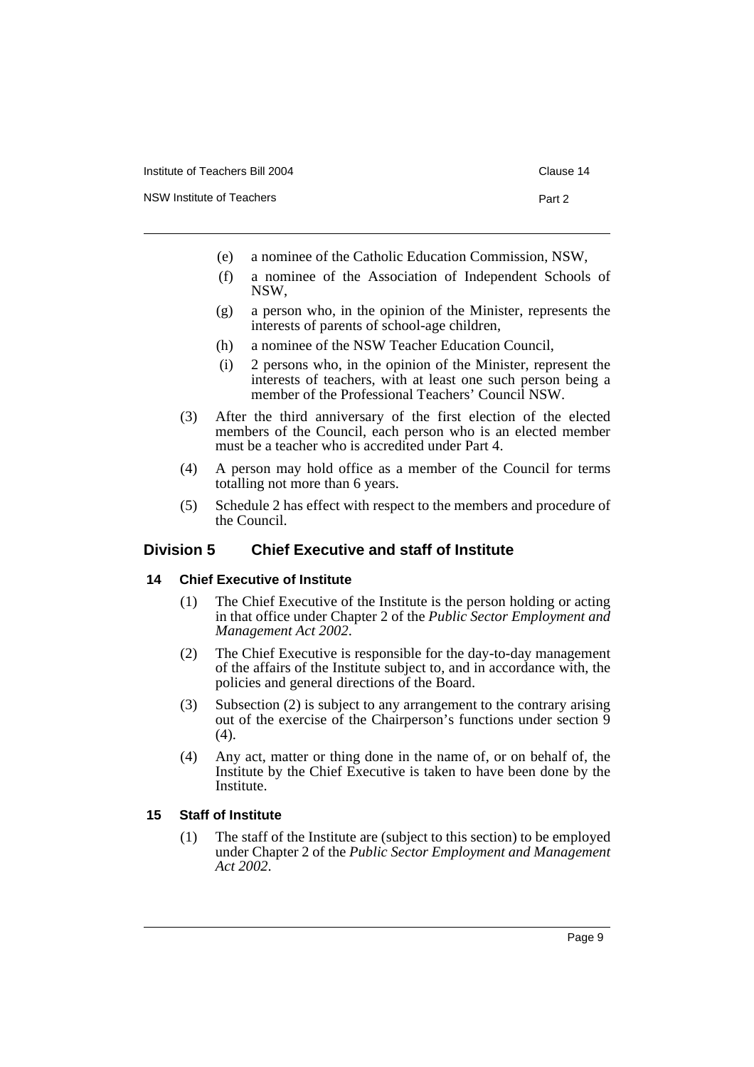NSW Institute of Teachers **Part 2** and 2

- (e) a nominee of the Catholic Education Commission, NSW,
- (f) a nominee of the Association of Independent Schools of NSW,
- (g) a person who, in the opinion of the Minister, represents the interests of parents of school-age children,
- (h) a nominee of the NSW Teacher Education Council,
- (i) 2 persons who, in the opinion of the Minister, represent the interests of teachers, with at least one such person being a member of the Professional Teachers' Council NSW.
- (3) After the third anniversary of the first election of the elected members of the Council, each person who is an elected member must be a teacher who is accredited under Part 4.
- (4) A person may hold office as a member of the Council for terms totalling not more than 6 years.
- (5) Schedule 2 has effect with respect to the members and procedure of the Council.

### **Division 5 Chief Executive and staff of Institute**

#### **14 Chief Executive of Institute**

- (1) The Chief Executive of the Institute is the person holding or acting in that office under Chapter 2 of the *Public Sector Employment and Management Act 2002*.
- (2) The Chief Executive is responsible for the day-to-day management of the affairs of the Institute subject to, and in accordance with, the policies and general directions of the Board.
- (3) Subsection (2) is subject to any arrangement to the contrary arising out of the exercise of the Chairperson's functions under section 9  $(4)$ .
- (4) Any act, matter or thing done in the name of, or on behalf of, the Institute by the Chief Executive is taken to have been done by the Institute.

#### **15 Staff of Institute**

(1) The staff of the Institute are (subject to this section) to be employed under Chapter 2 of the *Public Sector Employment and Management Act 2002*.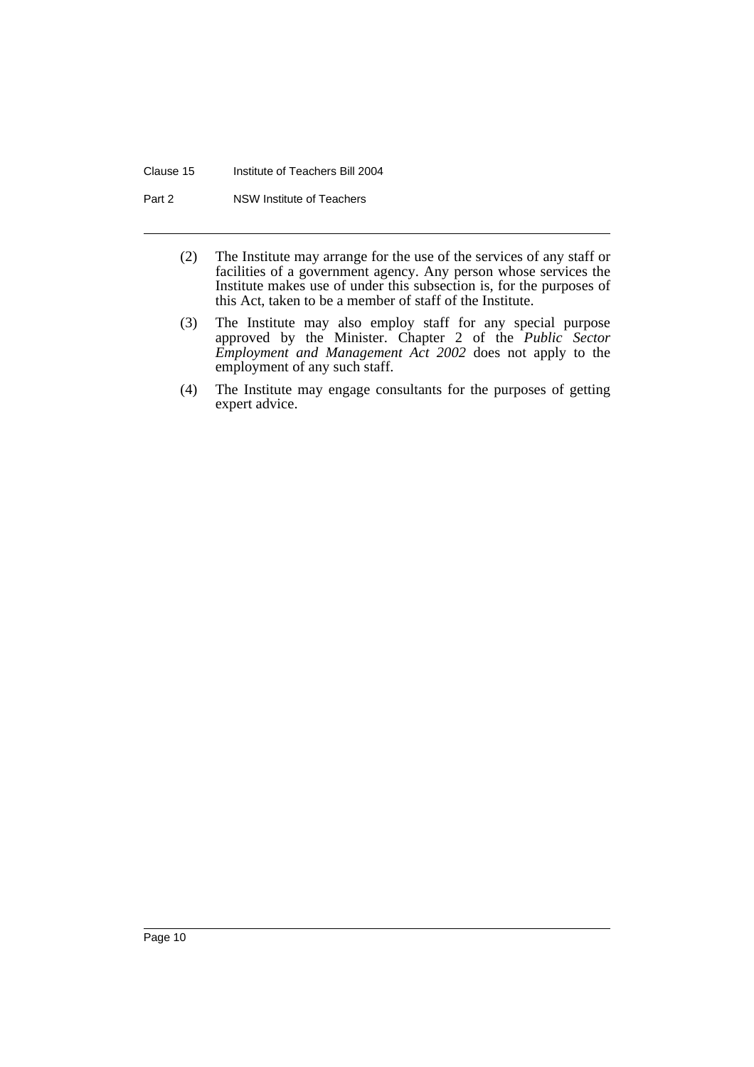#### Clause 15 Institute of Teachers Bill 2004

Part 2 NSW Institute of Teachers

- (2) The Institute may arrange for the use of the services of any staff or facilities of a government agency. Any person whose services the Institute makes use of under this subsection is, for the purposes of this Act, taken to be a member of staff of the Institute.
- (3) The Institute may also employ staff for any special purpose approved by the Minister. Chapter 2 of the *Public Sector Employment and Management Act 2002* does not apply to the employment of any such staff.
- (4) The Institute may engage consultants for the purposes of getting expert advice.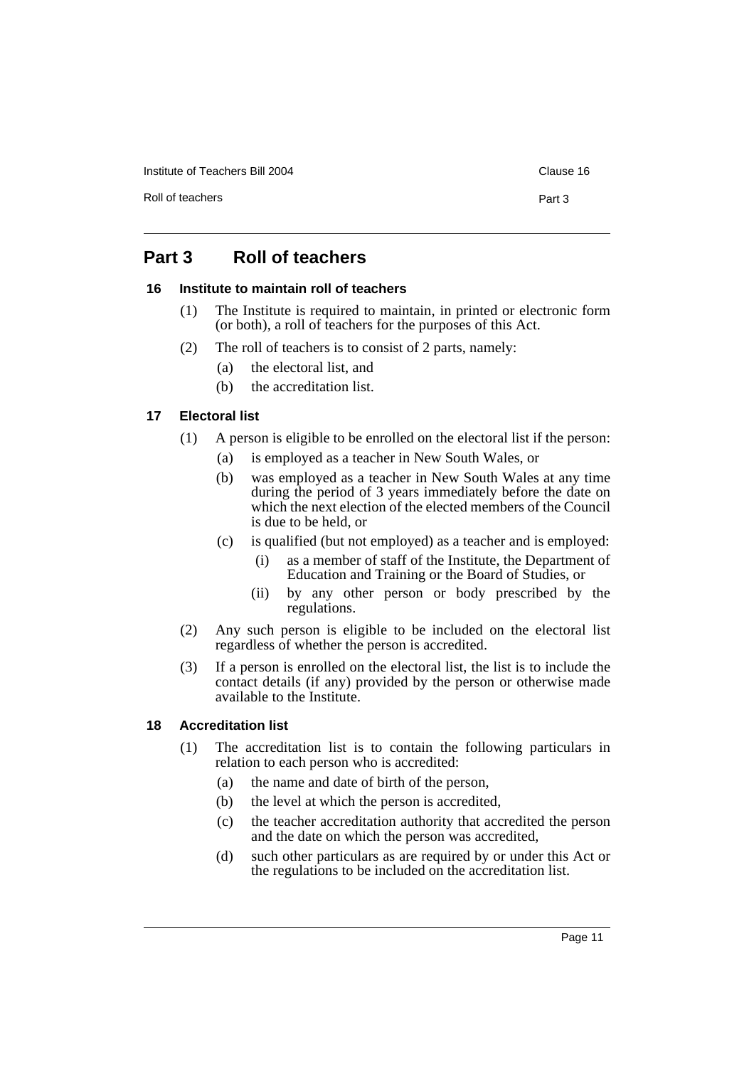Institute of Teachers Bill 2004 Clause 16

Roll of teachers **Part 3** 

### **Part 3 Roll of teachers**

#### **16 Institute to maintain roll of teachers**

- (1) The Institute is required to maintain, in printed or electronic form (or both), a roll of teachers for the purposes of this Act.
- (2) The roll of teachers is to consist of 2 parts, namely:
	- (a) the electoral list, and
	- (b) the accreditation list.

### **17 Electoral list**

- (1) A person is eligible to be enrolled on the electoral list if the person:
	- (a) is employed as a teacher in New South Wales, or
	- (b) was employed as a teacher in New South Wales at any time during the period of 3 years immediately before the date on which the next election of the elected members of the Council is due to be held, or
	- (c) is qualified (but not employed) as a teacher and is employed:
		- (i) as a member of staff of the Institute, the Department of Education and Training or the Board of Studies, or
		- (ii) by any other person or body prescribed by the regulations.
- (2) Any such person is eligible to be included on the electoral list regardless of whether the person is accredited.
- (3) If a person is enrolled on the electoral list, the list is to include the contact details (if any) provided by the person or otherwise made available to the Institute.

### **18 Accreditation list**

- (1) The accreditation list is to contain the following particulars in relation to each person who is accredited:
	- (a) the name and date of birth of the person,
	- (b) the level at which the person is accredited,
	- (c) the teacher accreditation authority that accredited the person and the date on which the person was accredited,
	- (d) such other particulars as are required by or under this Act or the regulations to be included on the accreditation list.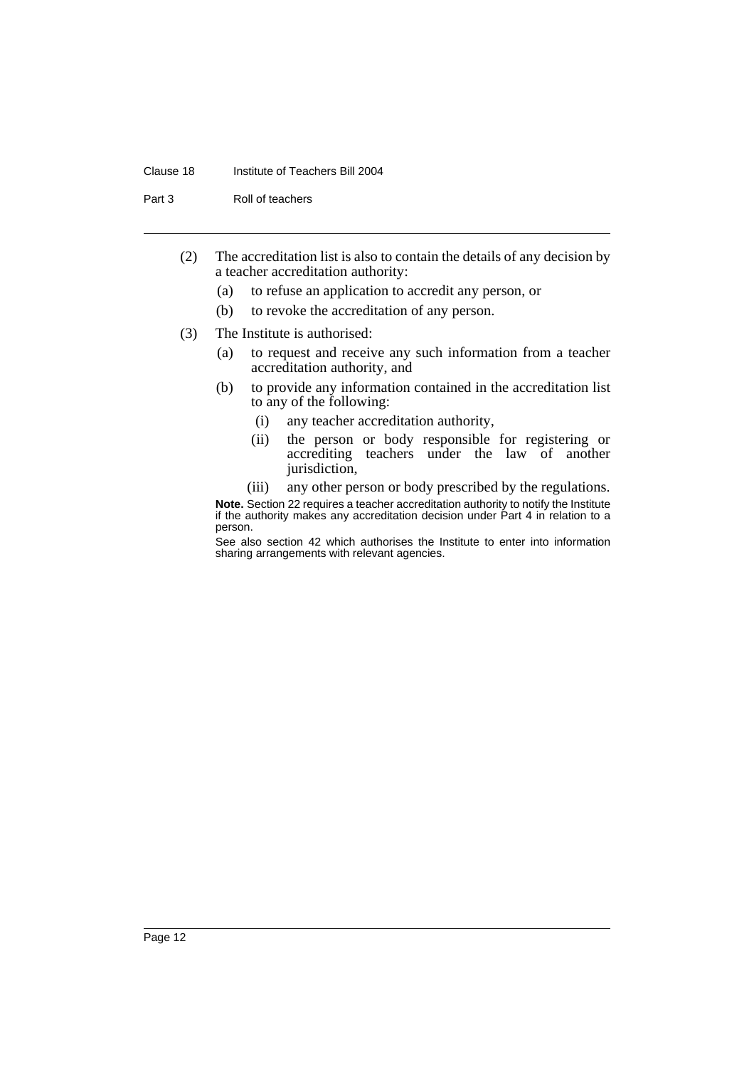#### Clause 18 Institute of Teachers Bill 2004

Part 3 Roll of teachers

- (2) The accreditation list is also to contain the details of any decision by a teacher accreditation authority:
	- (a) to refuse an application to accredit any person, or
	- (b) to revoke the accreditation of any person.
- (3) The Institute is authorised:
	- (a) to request and receive any such information from a teacher accreditation authority, and
	- (b) to provide any information contained in the accreditation list to any of the following:
		- (i) any teacher accreditation authority,
		- (ii) the person or body responsible for registering or accrediting teachers under the law of another jurisdiction,
		- (iii) any other person or body prescribed by the regulations.

**Note.** Section 22 requires a teacher accreditation authority to notify the Institute if the authority makes any accreditation decision under Part 4 in relation to a person.

See also section 42 which authorises the Institute to enter into information sharing arrangements with relevant agencies.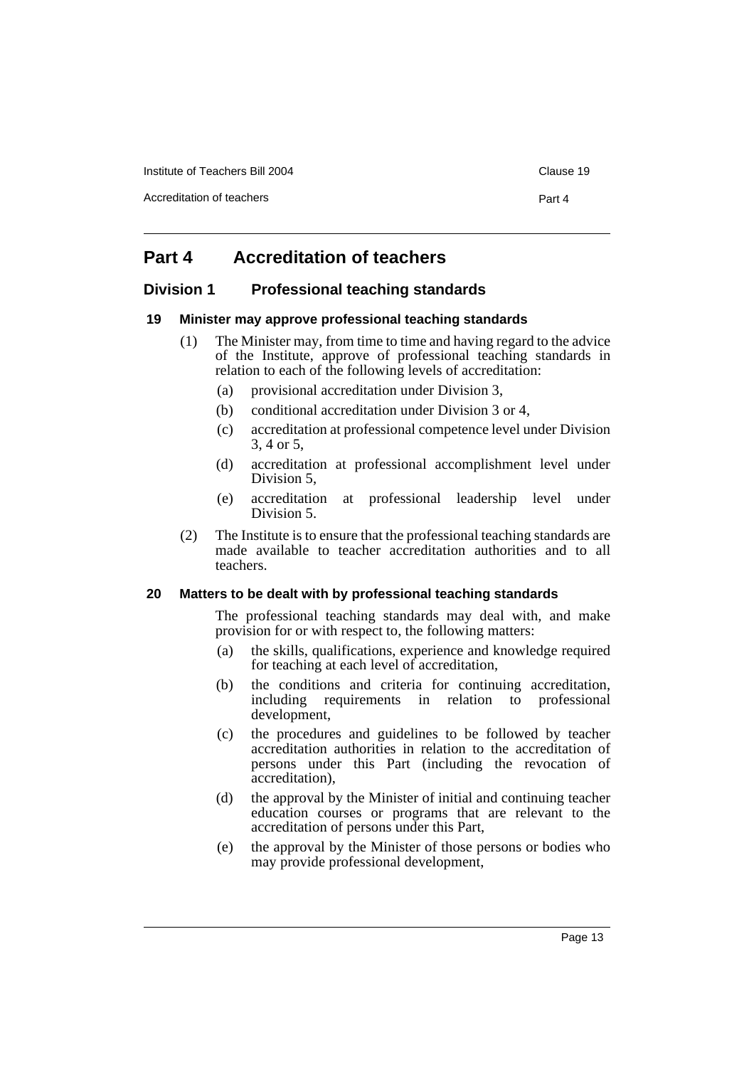Institute of Teachers Bill 2004 Clause 19

Accreditation of teachers **Part 4** 

## **Part 4 Accreditation of teachers**

### **Division 1 Professional teaching standards**

#### **19 Minister may approve professional teaching standards**

- (1) The Minister may, from time to time and having regard to the advice of the Institute, approve of professional teaching standards in relation to each of the following levels of accreditation:
	- (a) provisional accreditation under Division 3,
	- (b) conditional accreditation under Division 3 or 4,
	- (c) accreditation at professional competence level under Division 3, 4 or 5,
	- (d) accreditation at professional accomplishment level under Division 5,
	- (e) accreditation at professional leadership level under Division 5.
- (2) The Institute is to ensure that the professional teaching standards are made available to teacher accreditation authorities and to all teachers.

#### **20 Matters to be dealt with by professional teaching standards**

The professional teaching standards may deal with, and make provision for or with respect to, the following matters:

- (a) the skills, qualifications, experience and knowledge required for teaching at each level of accreditation,
- (b) the conditions and criteria for continuing accreditation, including requirements in relation to professional development,
- (c) the procedures and guidelines to be followed by teacher accreditation authorities in relation to the accreditation of persons under this Part (including the revocation of accreditation),
- (d) the approval by the Minister of initial and continuing teacher education courses or programs that are relevant to the accreditation of persons under this Part,
- (e) the approval by the Minister of those persons or bodies who may provide professional development,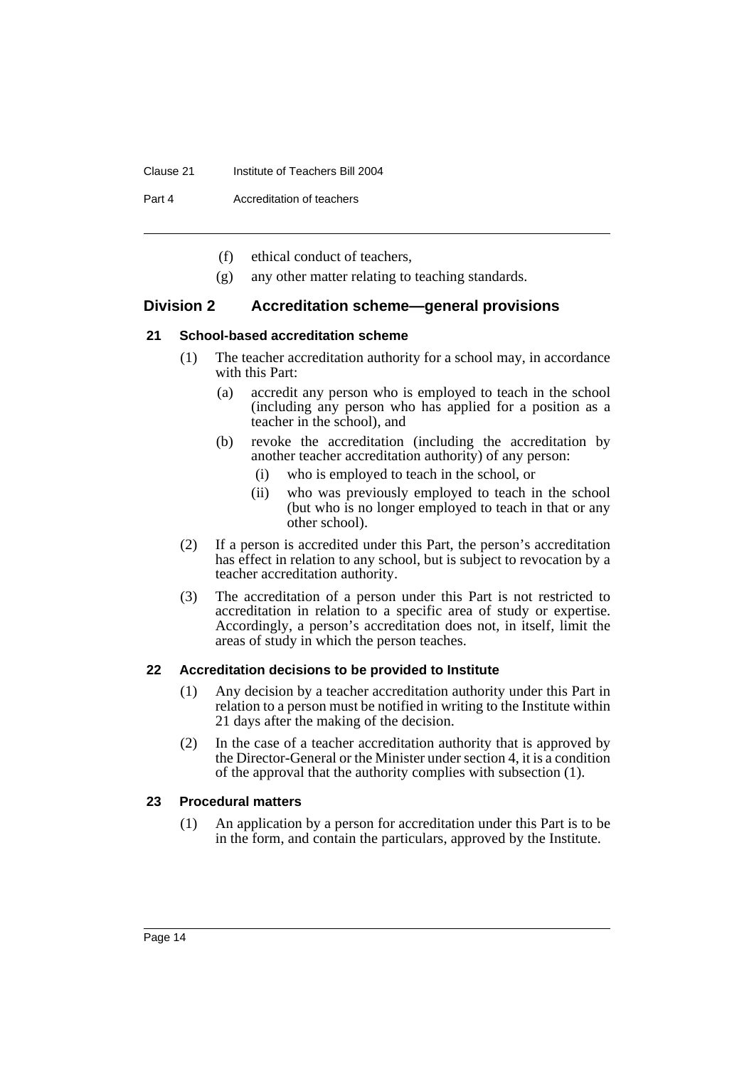#### Clause 21 Institute of Teachers Bill 2004

Part 4 Accreditation of teachers

- (f) ethical conduct of teachers,
- (g) any other matter relating to teaching standards.

#### **Division 2 Accreditation scheme—general provisions**

#### **21 School-based accreditation scheme**

- (1) The teacher accreditation authority for a school may, in accordance with this Part:
	- (a) accredit any person who is employed to teach in the school (including any person who has applied for a position as a teacher in the school), and
	- (b) revoke the accreditation (including the accreditation by another teacher accreditation authority) of any person:
		- (i) who is employed to teach in the school, or
		- (ii) who was previously employed to teach in the school (but who is no longer employed to teach in that or any other school).
- (2) If a person is accredited under this Part, the person's accreditation has effect in relation to any school, but is subject to revocation by a teacher accreditation authority.
- (3) The accreditation of a person under this Part is not restricted to accreditation in relation to a specific area of study or expertise. Accordingly, a person's accreditation does not, in itself, limit the areas of study in which the person teaches.

#### **22 Accreditation decisions to be provided to Institute**

- (1) Any decision by a teacher accreditation authority under this Part in relation to a person must be notified in writing to the Institute within 21 days after the making of the decision.
- (2) In the case of a teacher accreditation authority that is approved by the Director-General or the Minister under section 4, it is a condition of the approval that the authority complies with subsection (1).

#### **23 Procedural matters**

(1) An application by a person for accreditation under this Part is to be in the form, and contain the particulars, approved by the Institute.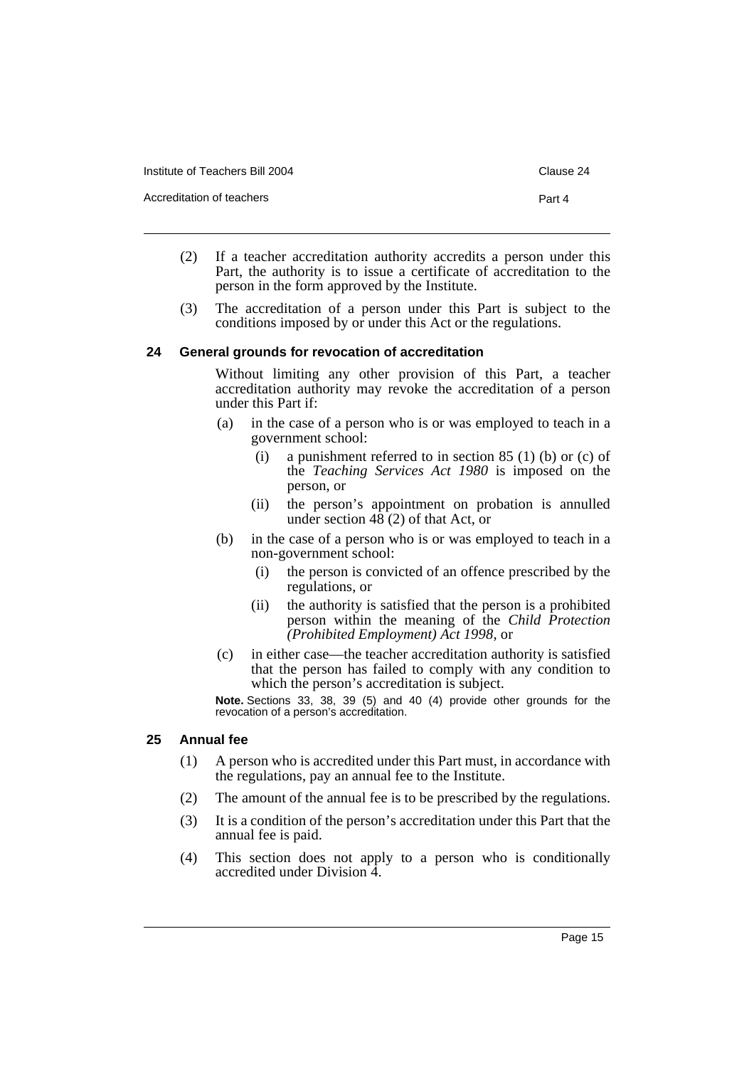Institute of Teachers Bill 2004 Clause 24

Accreditation of teachers **Part 4** 

- (2) If a teacher accreditation authority accredits a person under this Part, the authority is to issue a certificate of accreditation to the person in the form approved by the Institute.
- (3) The accreditation of a person under this Part is subject to the conditions imposed by or under this Act or the regulations.

#### **24 General grounds for revocation of accreditation**

Without limiting any other provision of this Part, a teacher accreditation authority may revoke the accreditation of a person under this Part if:

- (a) in the case of a person who is or was employed to teach in a government school:
	- (i) a punishment referred to in section  $85(1)$  (b) or (c) of the *Teaching Services Act 1980* is imposed on the person, or
	- (ii) the person's appointment on probation is annulled under section  $48(2)$  of that Act, or
- (b) in the case of a person who is or was employed to teach in a non-government school:
	- (i) the person is convicted of an offence prescribed by the regulations, or
	- (ii) the authority is satisfied that the person is a prohibited person within the meaning of the *Child Protection (Prohibited Employment) Act 1998*, or
- (c) in either case—the teacher accreditation authority is satisfied that the person has failed to comply with any condition to which the person's accreditation is subject.

**Note.** Sections 33, 38, 39 (5) and 40 (4) provide other grounds for the revocation of a person's accreditation.

#### **25 Annual fee**

- (1) A person who is accredited under this Part must, in accordance with the regulations, pay an annual fee to the Institute.
- (2) The amount of the annual fee is to be prescribed by the regulations.
- (3) It is a condition of the person's accreditation under this Part that the annual fee is paid.
- (4) This section does not apply to a person who is conditionally accredited under Division 4.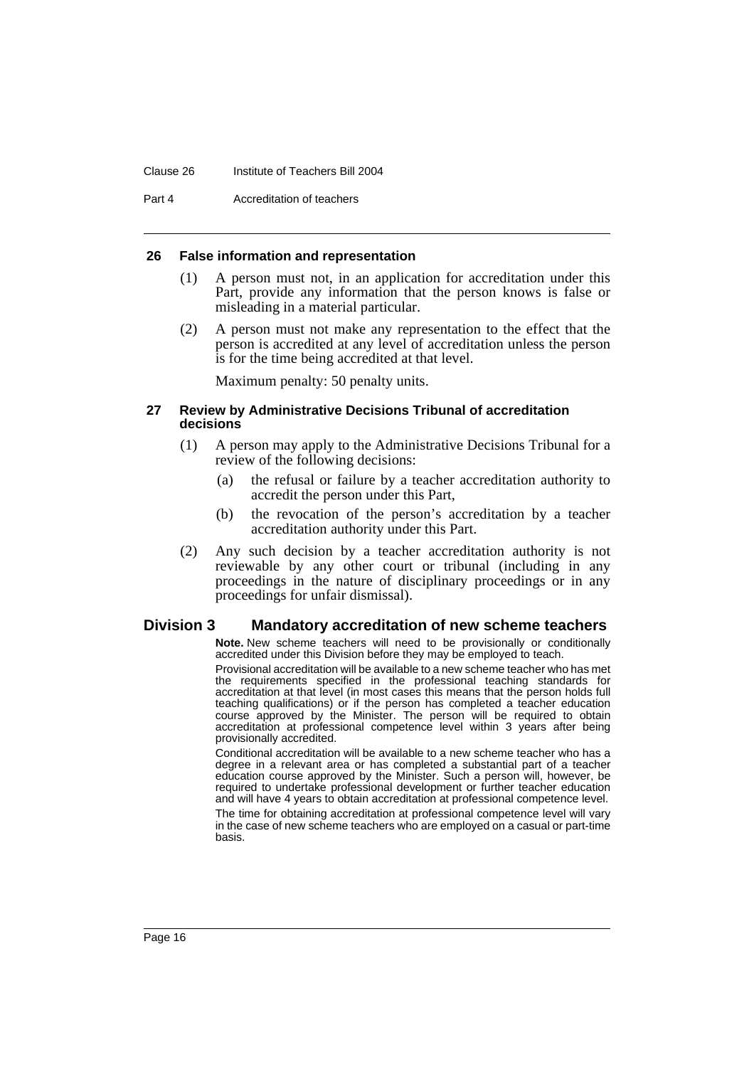#### Clause 26 Institute of Teachers Bill 2004

Part 4 Accreditation of teachers

#### **26 False information and representation**

- (1) A person must not, in an application for accreditation under this Part, provide any information that the person knows is false or misleading in a material particular.
- (2) A person must not make any representation to the effect that the person is accredited at any level of accreditation unless the person is for the time being accredited at that level.

Maximum penalty: 50 penalty units.

#### **27 Review by Administrative Decisions Tribunal of accreditation decisions**

- (1) A person may apply to the Administrative Decisions Tribunal for a review of the following decisions:
	- (a) the refusal or failure by a teacher accreditation authority to accredit the person under this Part,
	- (b) the revocation of the person's accreditation by a teacher accreditation authority under this Part.
- (2) Any such decision by a teacher accreditation authority is not reviewable by any other court or tribunal (including in any proceedings in the nature of disciplinary proceedings or in any proceedings for unfair dismissal).

#### **Division 3 Mandatory accreditation of new scheme teachers**

**Note.** New scheme teachers will need to be provisionally or conditionally accredited under this Division before they may be employed to teach.

Provisional accreditation will be available to a new scheme teacher who has met the requirements specified in the professional teaching standards for accreditation at that level (in most cases this means that the person holds full teaching qualifications) or if the person has completed a teacher education course approved by the Minister. The person will be required to obtain accreditation at professional competence level within 3 years after being provisionally accredited.

Conditional accreditation will be available to a new scheme teacher who has a degree in a relevant area or has completed a substantial part of a teacher education course approved by the Minister. Such a person will, however, be required to undertake professional development or further teacher education and will have 4 years to obtain accreditation at professional competence level.

The time for obtaining accreditation at professional competence level will vary in the case of new scheme teachers who are employed on a casual or part-time basis.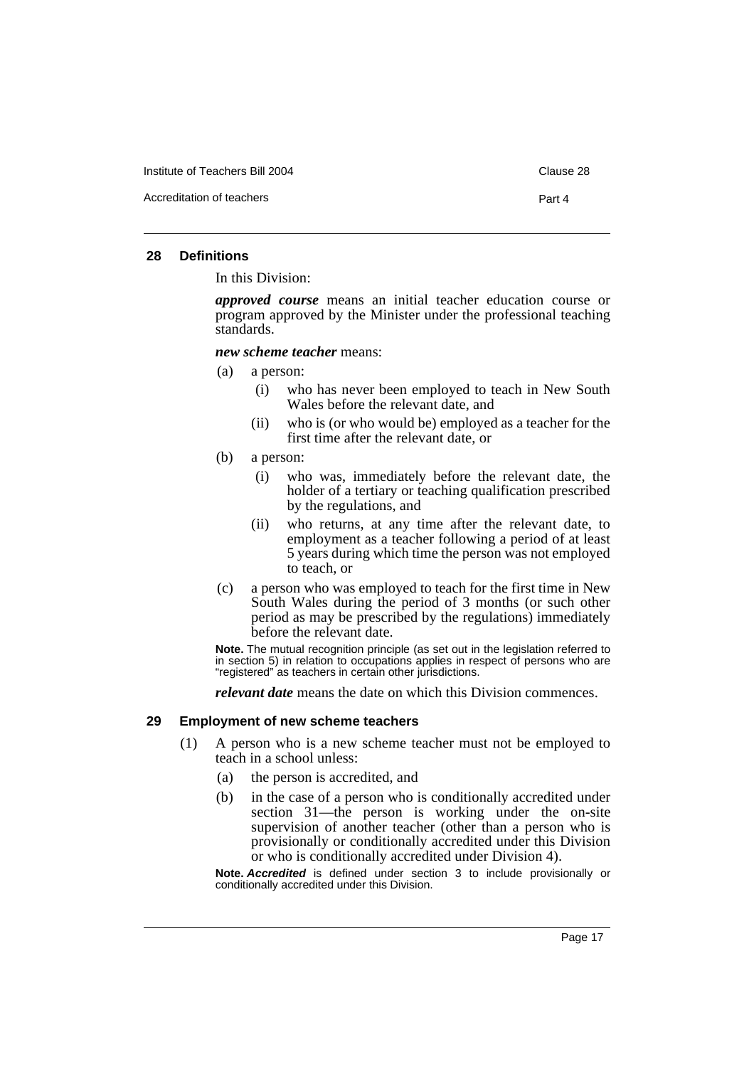Institute of Teachers Bill 2004 Clause 28

Accreditation of teachers **Part 4** 

#### **28 Definitions**

In this Division:

*approved course* means an initial teacher education course or program approved by the Minister under the professional teaching standards.

*new scheme teacher* means:

- (a) a person:
	- (i) who has never been employed to teach in New South Wales before the relevant date, and
	- (ii) who is (or who would be) employed as a teacher for the first time after the relevant date, or
- (b) a person:
	- (i) who was, immediately before the relevant date, the holder of a tertiary or teaching qualification prescribed by the regulations, and
	- (ii) who returns, at any time after the relevant date, to employment as a teacher following a period of at least 5 years during which time the person was not employed to teach, or
- (c) a person who was employed to teach for the first time in New South Wales during the period of 3 months (or such other period as may be prescribed by the regulations) immediately before the relevant date.

**Note.** The mutual recognition principle (as set out in the legislation referred to in section 5) in relation to occupations applies in respect of persons who are "registered" as teachers in certain other jurisdictions.

*relevant date* means the date on which this Division commences.

#### **29 Employment of new scheme teachers**

- (1) A person who is a new scheme teacher must not be employed to teach in a school unless:
	- (a) the person is accredited, and
	- (b) in the case of a person who is conditionally accredited under section 31—the person is working under the on-site supervision of another teacher (other than a person who is provisionally or conditionally accredited under this Division or who is conditionally accredited under Division 4).

**Note.** *Accredited* is defined under section 3 to include provisionally or conditionally accredited under this Division.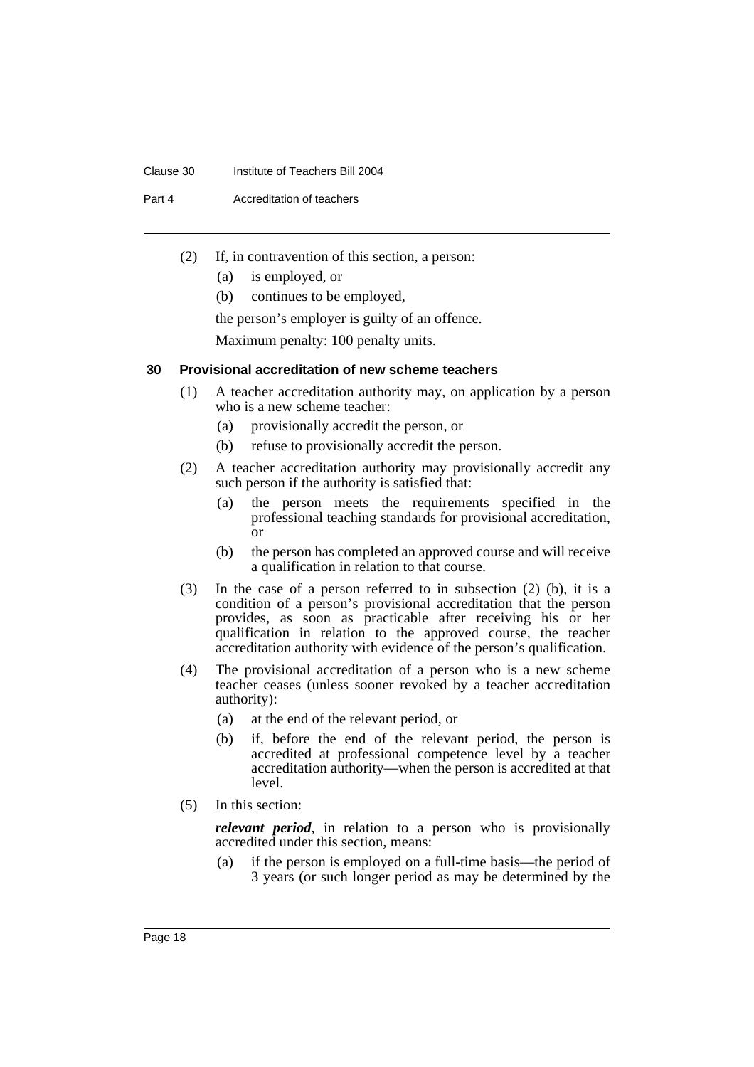#### Clause 30 Institute of Teachers Bill 2004

Part 4 Accreditation of teachers

- (2) If, in contravention of this section, a person:
	- (a) is employed, or
	- (b) continues to be employed,

the person's employer is guilty of an offence.

Maximum penalty: 100 penalty units.

#### **30 Provisional accreditation of new scheme teachers**

- (1) A teacher accreditation authority may, on application by a person who is a new scheme teacher:
	- (a) provisionally accredit the person, or
	- (b) refuse to provisionally accredit the person.
- (2) A teacher accreditation authority may provisionally accredit any such person if the authority is satisfied that:
	- (a) the person meets the requirements specified in the professional teaching standards for provisional accreditation, or
	- (b) the person has completed an approved course and will receive a qualification in relation to that course.
- (3) In the case of a person referred to in subsection (2) (b), it is a condition of a person's provisional accreditation that the person provides, as soon as practicable after receiving his or her qualification in relation to the approved course, the teacher accreditation authority with evidence of the person's qualification.
- (4) The provisional accreditation of a person who is a new scheme teacher ceases (unless sooner revoked by a teacher accreditation authority):
	- (a) at the end of the relevant period, or
	- (b) if, before the end of the relevant period, the person is accredited at professional competence level by a teacher accreditation authority—when the person is accredited at that level.
- (5) In this section:

*relevant period*, in relation to a person who is provisionally accredited under this section, means:

(a) if the person is employed on a full-time basis—the period of 3 years (or such longer period as may be determined by the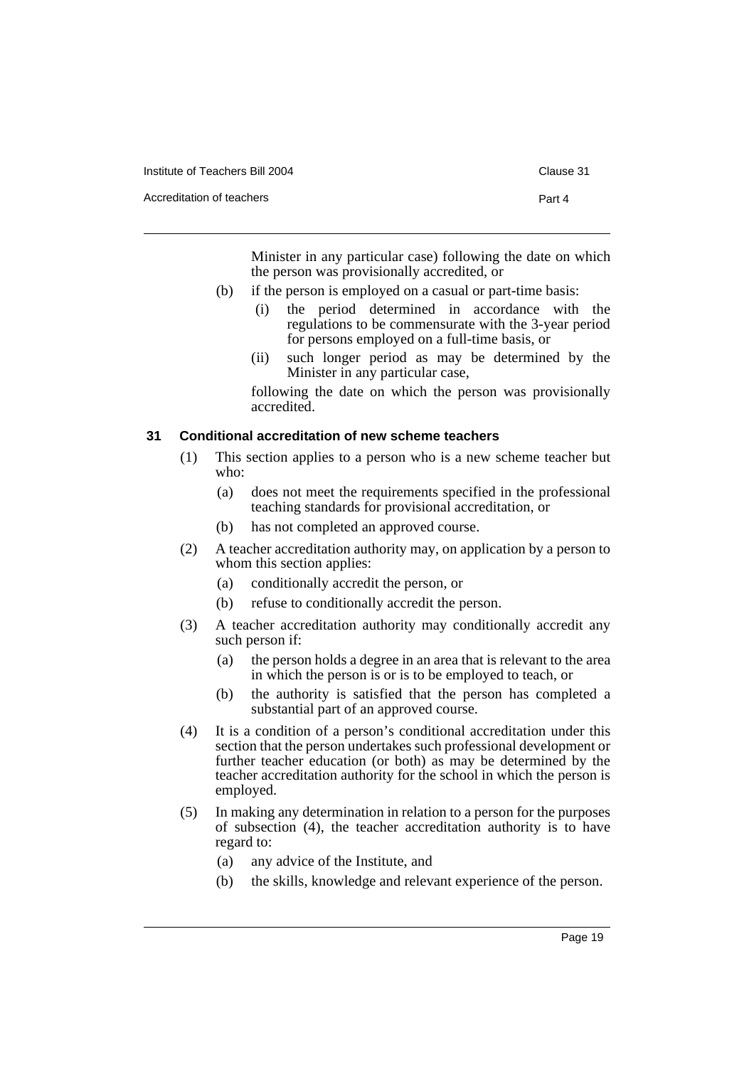| Institute of Teachers Bill 2004 | Clause 31 |
|---------------------------------|-----------|
| Accreditation of teachers       | Part 4    |
|                                 |           |

Minister in any particular case) following the date on which the person was provisionally accredited, or

- (b) if the person is employed on a casual or part-time basis:
	- (i) the period determined in accordance with the regulations to be commensurate with the 3-year period for persons employed on a full-time basis, or
	- (ii) such longer period as may be determined by the Minister in any particular case,

following the date on which the person was provisionally accredited.

#### **31 Conditional accreditation of new scheme teachers**

- (1) This section applies to a person who is a new scheme teacher but who:
	- (a) does not meet the requirements specified in the professional teaching standards for provisional accreditation, or
	- (b) has not completed an approved course.
- (2) A teacher accreditation authority may, on application by a person to whom this section applies:
	- (a) conditionally accredit the person, or
	- (b) refuse to conditionally accredit the person.
- (3) A teacher accreditation authority may conditionally accredit any such person if:
	- (a) the person holds a degree in an area that is relevant to the area in which the person is or is to be employed to teach, or
	- (b) the authority is satisfied that the person has completed a substantial part of an approved course.
- (4) It is a condition of a person's conditional accreditation under this section that the person undertakes such professional development or further teacher education (or both) as may be determined by the teacher accreditation authority for the school in which the person is employed.
- (5) In making any determination in relation to a person for the purposes of subsection (4), the teacher accreditation authority is to have regard to:
	- (a) any advice of the Institute, and
	- (b) the skills, knowledge and relevant experience of the person.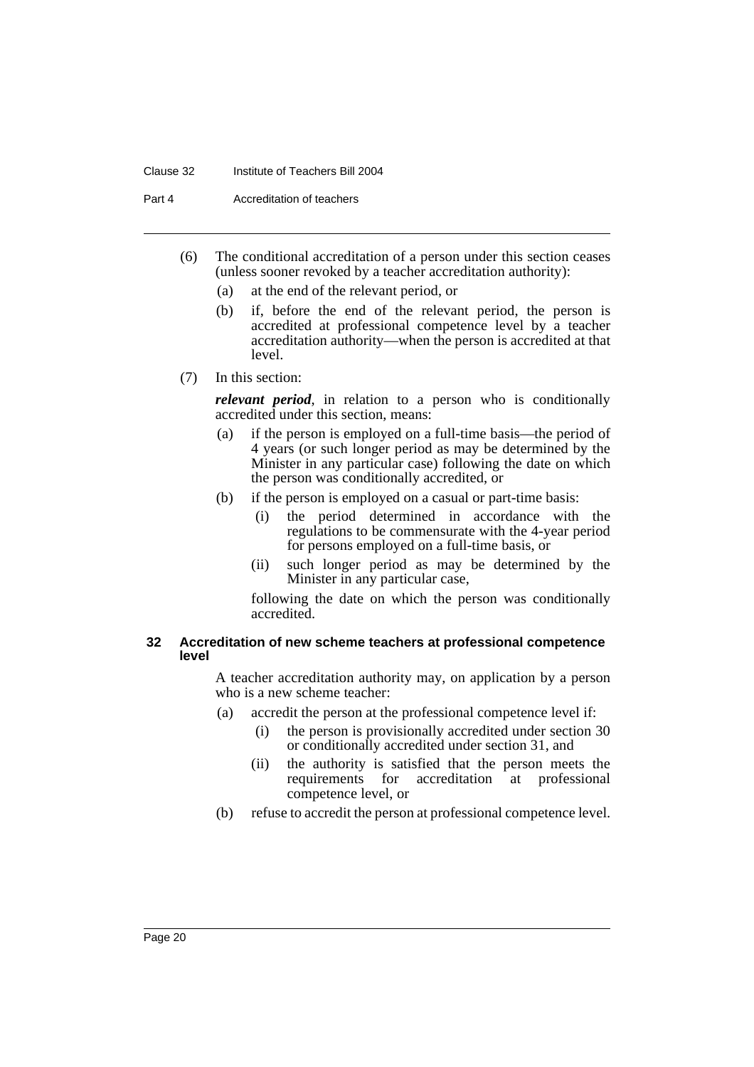#### Clause 32 Institute of Teachers Bill 2004

Part 4 Accreditation of teachers

- (6) The conditional accreditation of a person under this section ceases (unless sooner revoked by a teacher accreditation authority):
	- (a) at the end of the relevant period, or
	- (b) if, before the end of the relevant period, the person is accredited at professional competence level by a teacher accreditation authority—when the person is accredited at that level.
- (7) In this section:

*relevant period*, in relation to a person who is conditionally accredited under this section, means:

- (a) if the person is employed on a full-time basis—the period of 4 years (or such longer period as may be determined by the Minister in any particular case) following the date on which the person was conditionally accredited, or
- (b) if the person is employed on a casual or part-time basis:
	- (i) the period determined in accordance with the regulations to be commensurate with the 4-year period for persons employed on a full-time basis, or
	- (ii) such longer period as may be determined by the Minister in any particular case,

following the date on which the person was conditionally accredited.

#### **32 Accreditation of new scheme teachers at professional competence level**

A teacher accreditation authority may, on application by a person who is a new scheme teacher:

- (a) accredit the person at the professional competence level if:
	- (i) the person is provisionally accredited under section 30 or conditionally accredited under section 31, and
	- (ii) the authority is satisfied that the person meets the requirements for accreditation at professional competence level, or
- (b) refuse to accredit the person at professional competence level.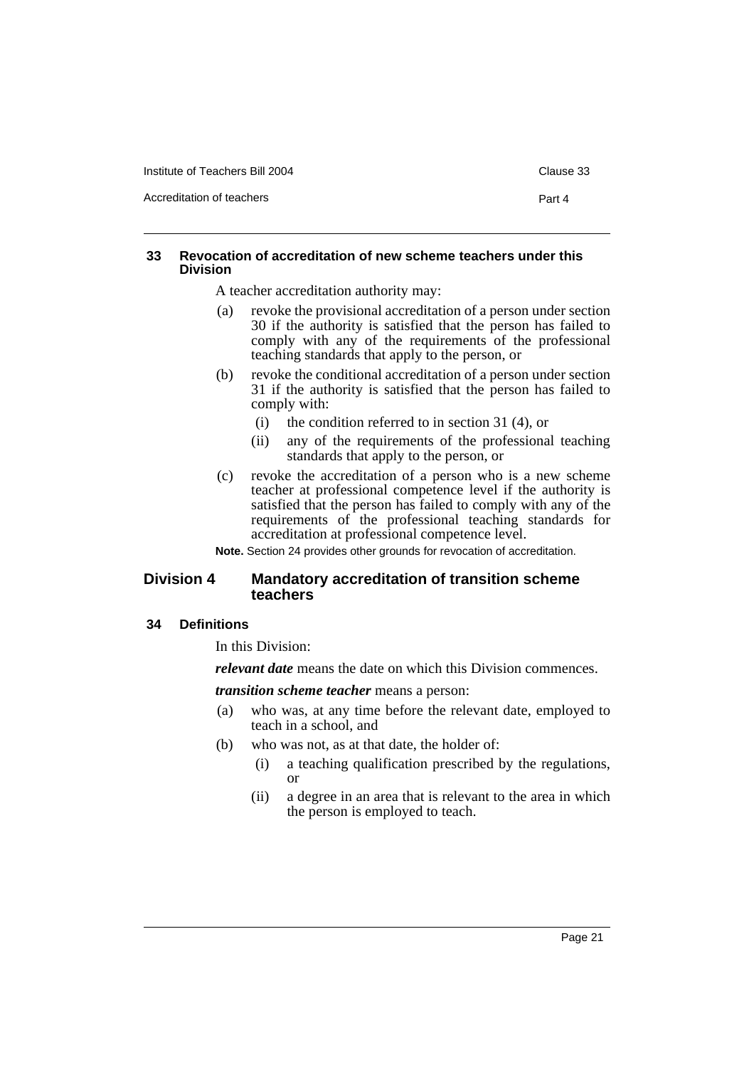Accreditation of teachers **Part 4** 

#### **33 Revocation of accreditation of new scheme teachers under this Division**

A teacher accreditation authority may:

- (a) revoke the provisional accreditation of a person under section 30 if the authority is satisfied that the person has failed to comply with any of the requirements of the professional teaching standards that apply to the person, or
- (b) revoke the conditional accreditation of a person under section 31 if the authority is satisfied that the person has failed to comply with:
	- (i) the condition referred to in section 31 (4), or
	- (ii) any of the requirements of the professional teaching standards that apply to the person, or
- (c) revoke the accreditation of a person who is a new scheme teacher at professional competence level if the authority is satisfied that the person has failed to comply with any of the requirements of the professional teaching standards for accreditation at professional competence level.

**Note.** Section 24 provides other grounds for revocation of accreditation.

#### **Division 4 Mandatory accreditation of transition scheme teachers**

#### **34 Definitions**

In this Division:

*relevant date* means the date on which this Division commences.

*transition scheme teacher* means a person:

- (a) who was, at any time before the relevant date, employed to teach in a school, and
- (b) who was not, as at that date, the holder of:
	- (i) a teaching qualification prescribed by the regulations, or
	- (ii) a degree in an area that is relevant to the area in which the person is employed to teach.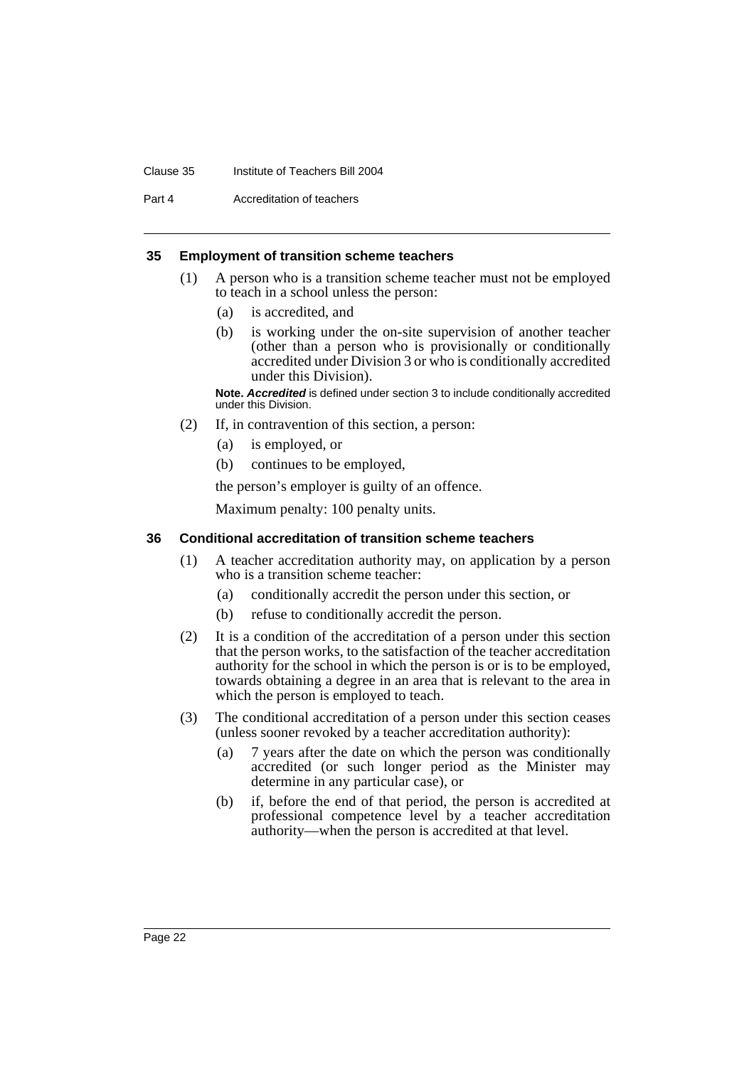#### Clause 35 Institute of Teachers Bill 2004

Part 4 Accreditation of teachers

#### **35 Employment of transition scheme teachers**

- (1) A person who is a transition scheme teacher must not be employed to teach in a school unless the person:
	- (a) is accredited, and
	- (b) is working under the on-site supervision of another teacher (other than a person who is provisionally or conditionally accredited under Division 3 or who is conditionally accredited under this Division).

**Note.** *Accredited* is defined under section 3 to include conditionally accredited under this Division.

- (2) If, in contravention of this section, a person:
	- (a) is employed, or
	- (b) continues to be employed,

the person's employer is guilty of an offence.

Maximum penalty: 100 penalty units.

#### **36 Conditional accreditation of transition scheme teachers**

- (1) A teacher accreditation authority may, on application by a person who is a transition scheme teacher:
	- (a) conditionally accredit the person under this section, or
	- (b) refuse to conditionally accredit the person.
- (2) It is a condition of the accreditation of a person under this section that the person works, to the satisfaction of the teacher accreditation authority for the school in which the person is or is to be employed, towards obtaining a degree in an area that is relevant to the area in which the person is employed to teach.
- (3) The conditional accreditation of a person under this section ceases (unless sooner revoked by a teacher accreditation authority):
	- (a) 7 years after the date on which the person was conditionally accredited (or such longer period as the Minister may determine in any particular case), or
	- (b) if, before the end of that period, the person is accredited at professional competence level by a teacher accreditation authority—when the person is accredited at that level.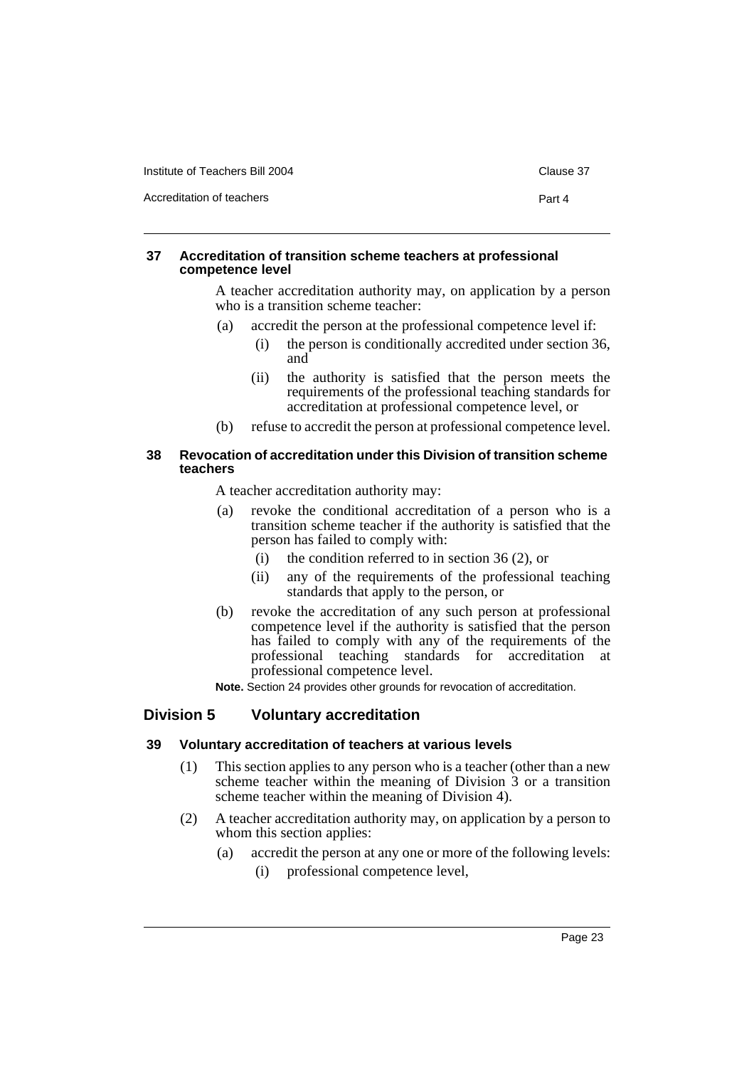| Institute of Teachers Bill 2004 |
|---------------------------------|
|---------------------------------|

Accreditation of teachers **Part 4** 

#### **37 Accreditation of transition scheme teachers at professional competence level**

A teacher accreditation authority may, on application by a person who is a transition scheme teacher:

- (a) accredit the person at the professional competence level if:
	- (i) the person is conditionally accredited under section 36, and
	- (ii) the authority is satisfied that the person meets the requirements of the professional teaching standards for accreditation at professional competence level, or
- (b) refuse to accredit the person at professional competence level.

#### **38 Revocation of accreditation under this Division of transition scheme teachers**

A teacher accreditation authority may:

- (a) revoke the conditional accreditation of a person who is a transition scheme teacher if the authority is satisfied that the person has failed to comply with:
	- (i) the condition referred to in section 36 (2), or
	- (ii) any of the requirements of the professional teaching standards that apply to the person, or
- (b) revoke the accreditation of any such person at professional competence level if the authority is satisfied that the person has failed to comply with any of the requirements of the professional teaching standards for accreditation at professional competence level.

**Note.** Section 24 provides other grounds for revocation of accreditation.

#### **Division 5 Voluntary accreditation**

#### **39 Voluntary accreditation of teachers at various levels**

- (1) This section applies to any person who is a teacher (other than a new scheme teacher within the meaning of Division 3 or a transition scheme teacher within the meaning of Division 4).
- (2) A teacher accreditation authority may, on application by a person to whom this section applies:
	- (a) accredit the person at any one or more of the following levels:
		- (i) professional competence level,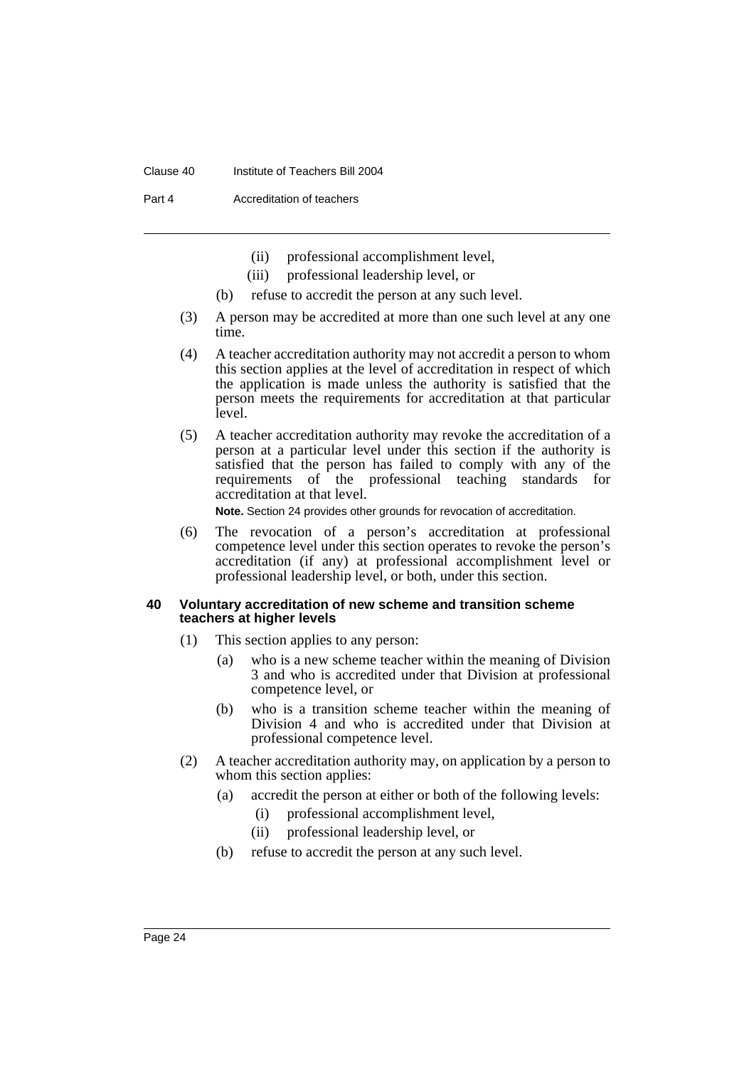#### Clause 40 Institute of Teachers Bill 2004

Part 4 **Accreditation of teachers** 

- (ii) professional accomplishment level,
- (iii) professional leadership level, or
- (b) refuse to accredit the person at any such level.
- (3) A person may be accredited at more than one such level at any one time.
- (4) A teacher accreditation authority may not accredit a person to whom this section applies at the level of accreditation in respect of which the application is made unless the authority is satisfied that the person meets the requirements for accreditation at that particular level.
- (5) A teacher accreditation authority may revoke the accreditation of a person at a particular level under this section if the authority is satisfied that the person has failed to comply with any of the requirements of the professional teaching standards for accreditation at that level.

**Note.** Section 24 provides other grounds for revocation of accreditation.

(6) The revocation of a person's accreditation at professional competence level under this section operates to revoke the person's accreditation (if any) at professional accomplishment level or professional leadership level, or both, under this section.

#### **40 Voluntary accreditation of new scheme and transition scheme teachers at higher levels**

- (1) This section applies to any person:
	- (a) who is a new scheme teacher within the meaning of Division 3 and who is accredited under that Division at professional competence level, or
	- (b) who is a transition scheme teacher within the meaning of Division 4 and who is accredited under that Division at professional competence level.
- (2) A teacher accreditation authority may, on application by a person to whom this section applies:
	- (a) accredit the person at either or both of the following levels:
		- (i) professional accomplishment level,
		- (ii) professional leadership level, or
	- (b) refuse to accredit the person at any such level.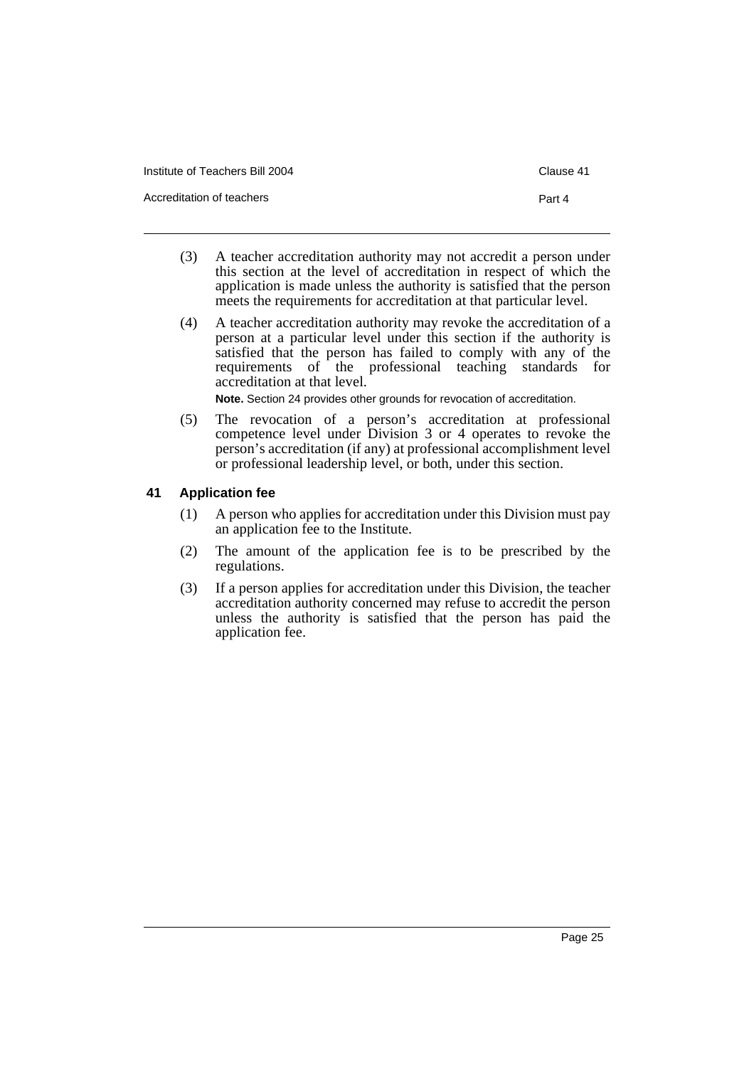| Institute of Teachers Bill 2004 |  |
|---------------------------------|--|
|---------------------------------|--|

Accreditation of teachers **Part 4** 

- (3) A teacher accreditation authority may not accredit a person under this section at the level of accreditation in respect of which the application is made unless the authority is satisfied that the person meets the requirements for accreditation at that particular level.
- (4) A teacher accreditation authority may revoke the accreditation of a person at a particular level under this section if the authority is satisfied that the person has failed to comply with any of the requirements of the professional teaching standards for accreditation at that level.

**Note.** Section 24 provides other grounds for revocation of accreditation.

(5) The revocation of a person's accreditation at professional competence level under Division 3 or 4 operates to revoke the person's accreditation (if any) at professional accomplishment level or professional leadership level, or both, under this section.

### **41 Application fee**

- (1) A person who applies for accreditation under this Division must pay an application fee to the Institute.
- (2) The amount of the application fee is to be prescribed by the regulations.
- (3) If a person applies for accreditation under this Division, the teacher accreditation authority concerned may refuse to accredit the person unless the authority is satisfied that the person has paid the application fee.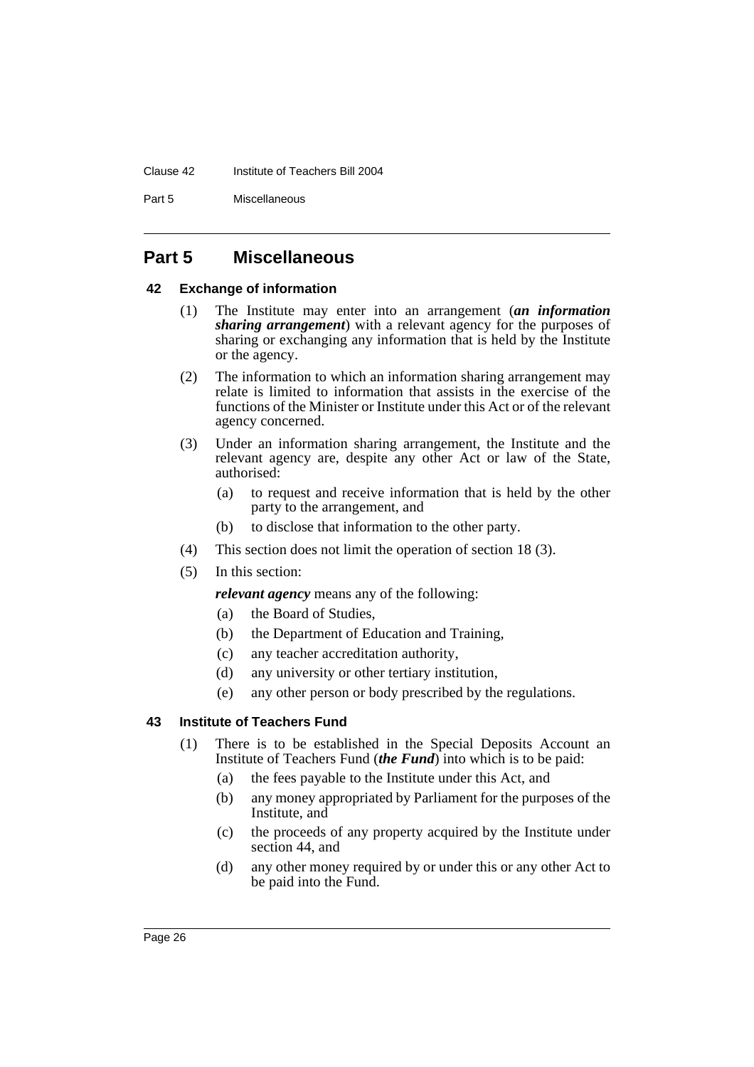#### Clause 42 Institute of Teachers Bill 2004

Part 5 Miscellaneous

### **Part 5 Miscellaneous**

#### **42 Exchange of information**

- (1) The Institute may enter into an arrangement (*an information sharing arrangement*) with a relevant agency for the purposes of sharing or exchanging any information that is held by the Institute or the agency.
- (2) The information to which an information sharing arrangement may relate is limited to information that assists in the exercise of the functions of the Minister or Institute under this Act or of the relevant agency concerned.
- (3) Under an information sharing arrangement, the Institute and the relevant agency are, despite any other Act or law of the State, authorised:
	- (a) to request and receive information that is held by the other party to the arrangement, and
	- (b) to disclose that information to the other party.
- (4) This section does not limit the operation of section 18 (3).
- (5) In this section:

*relevant agency* means any of the following:

- (a) the Board of Studies,
- (b) the Department of Education and Training,
- (c) any teacher accreditation authority,
- (d) any university or other tertiary institution,
- (e) any other person or body prescribed by the regulations.

### **43 Institute of Teachers Fund**

- (1) There is to be established in the Special Deposits Account an Institute of Teachers Fund (*the Fund*) into which is to be paid:
	- (a) the fees payable to the Institute under this Act, and
	- (b) any money appropriated by Parliament for the purposes of the Institute, and
	- (c) the proceeds of any property acquired by the Institute under section 44, and
	- (d) any other money required by or under this or any other Act to be paid into the Fund.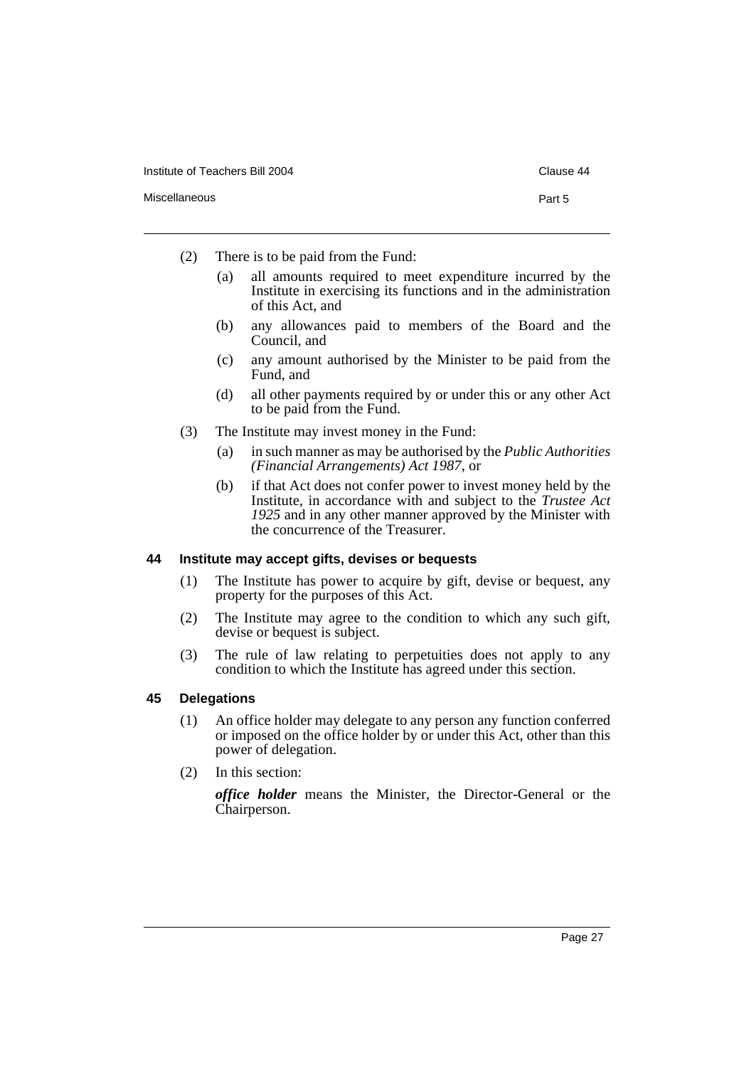- (2) There is to be paid from the Fund:
	- (a) all amounts required to meet expenditure incurred by the Institute in exercising its functions and in the administration of this Act, and
	- (b) any allowances paid to members of the Board and the Council, and
	- (c) any amount authorised by the Minister to be paid from the Fund, and
	- (d) all other payments required by or under this or any other Act to be paid from the Fund.
- (3) The Institute may invest money in the Fund:
	- (a) in such manner as may be authorised by the *Public Authorities (Financial Arrangements) Act 1987*, or
	- (b) if that Act does not confer power to invest money held by the Institute, in accordance with and subject to the *Trustee Act 1925* and in any other manner approved by the Minister with the concurrence of the Treasurer.

#### **44 Institute may accept gifts, devises or bequests**

- (1) The Institute has power to acquire by gift, devise or bequest, any property for the purposes of this Act.
- (2) The Institute may agree to the condition to which any such gift, devise or bequest is subject.
- (3) The rule of law relating to perpetuities does not apply to any condition to which the Institute has agreed under this section.

#### **45 Delegations**

- (1) An office holder may delegate to any person any function conferred or imposed on the office holder by or under this Act, other than this power of delegation.
- (2) In this section:

*office holder* means the Minister, the Director-General or the Chairperson.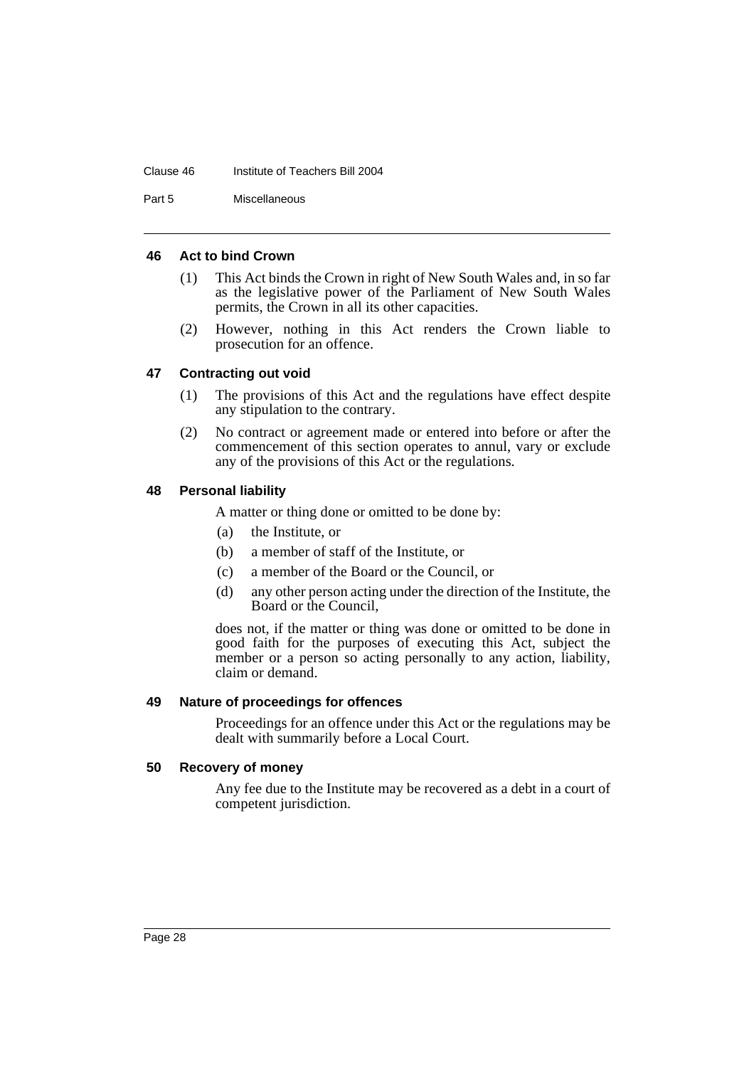#### Clause 46 Institute of Teachers Bill 2004

Part 5 Miscellaneous

#### **46 Act to bind Crown**

- (1) This Act binds the Crown in right of New South Wales and, in so far as the legislative power of the Parliament of New South Wales permits, the Crown in all its other capacities.
- (2) However, nothing in this Act renders the Crown liable to prosecution for an offence.

### **47 Contracting out void**

- (1) The provisions of this Act and the regulations have effect despite any stipulation to the contrary.
- (2) No contract or agreement made or entered into before or after the commencement of this section operates to annul, vary or exclude any of the provisions of this Act or the regulations.

#### **48 Personal liability**

A matter or thing done or omitted to be done by:

- (a) the Institute, or
- (b) a member of staff of the Institute, or
- (c) a member of the Board or the Council, or
- (d) any other person acting under the direction of the Institute, the Board or the Council,

does not, if the matter or thing was done or omitted to be done in good faith for the purposes of executing this Act, subject the member or a person so acting personally to any action, liability, claim or demand.

#### **49 Nature of proceedings for offences**

Proceedings for an offence under this Act or the regulations may be dealt with summarily before a Local Court.

#### **50 Recovery of money**

Any fee due to the Institute may be recovered as a debt in a court of competent jurisdiction.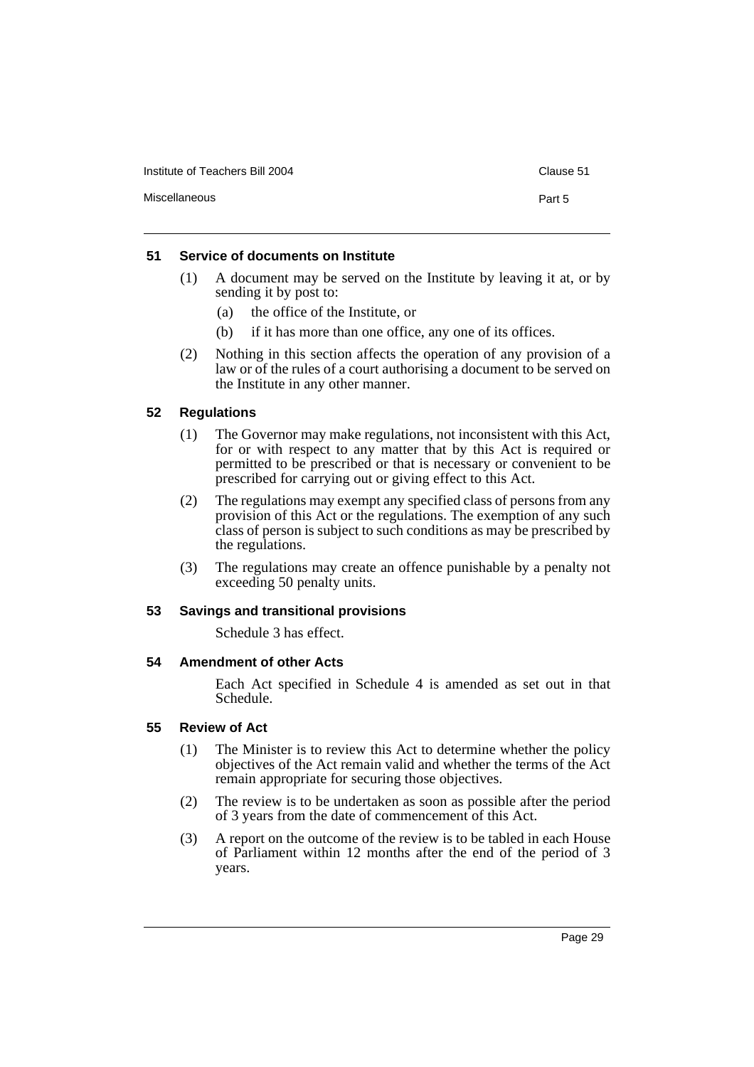Institute of Teachers Bill 2004 Clause 51

#### **51 Service of documents on Institute**

- (1) A document may be served on the Institute by leaving it at, or by sending it by post to:
	- (a) the office of the Institute, or
	- (b) if it has more than one office, any one of its offices.
- (2) Nothing in this section affects the operation of any provision of a law or of the rules of a court authorising a document to be served on the Institute in any other manner.

#### **52 Regulations**

- (1) The Governor may make regulations, not inconsistent with this Act, for or with respect to any matter that by this Act is required or permitted to be prescribed or that is necessary or convenient to be prescribed for carrying out or giving effect to this Act.
- (2) The regulations may exempt any specified class of persons from any provision of this Act or the regulations. The exemption of any such class of person is subject to such conditions as may be prescribed by the regulations.
- (3) The regulations may create an offence punishable by a penalty not exceeding 50 penalty units.

#### **53 Savings and transitional provisions**

Schedule 3 has effect.

#### **54 Amendment of other Acts**

Each Act specified in Schedule 4 is amended as set out in that Schedule.

#### **55 Review of Act**

- (1) The Minister is to review this Act to determine whether the policy objectives of the Act remain valid and whether the terms of the Act remain appropriate for securing those objectives.
- (2) The review is to be undertaken as soon as possible after the period of 3 years from the date of commencement of this Act.
- (3) A report on the outcome of the review is to be tabled in each House of Parliament within 12 months after the end of the period of 3 years.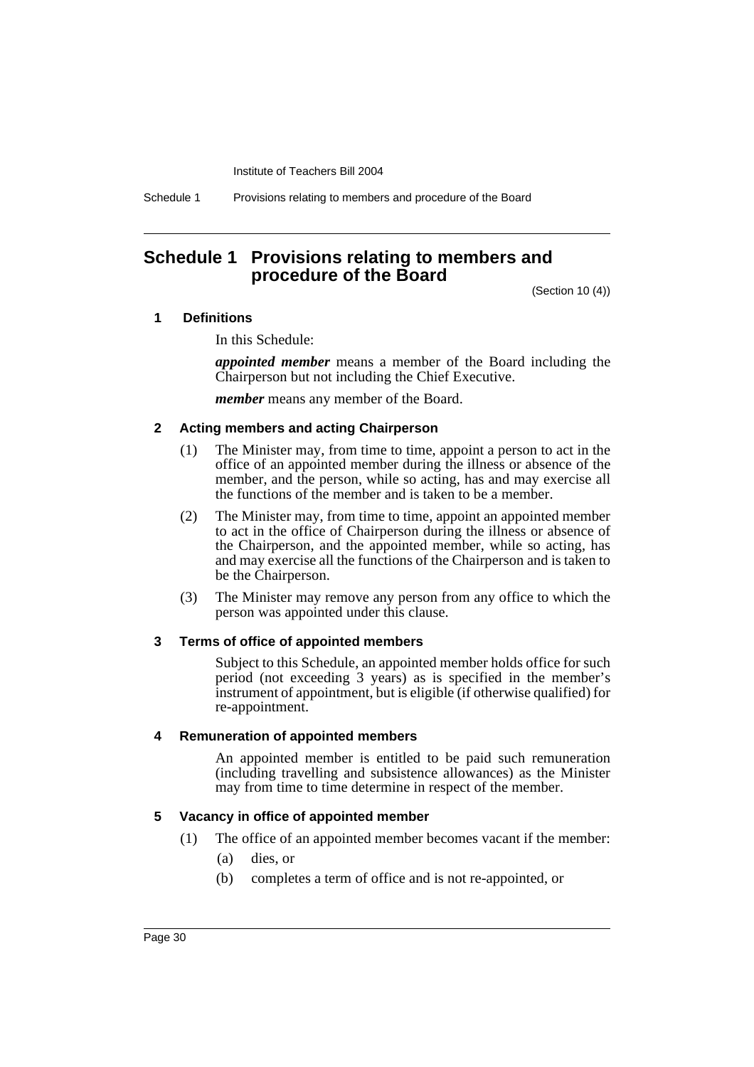Schedule 1 Provisions relating to members and procedure of the Board

### **Schedule 1 Provisions relating to members and procedure of the Board**

(Section 10 (4))

#### **1 Definitions**

In this Schedule:

*appointed member* means a member of the Board including the Chairperson but not including the Chief Executive.

*member* means any member of the Board.

#### **2 Acting members and acting Chairperson**

- (1) The Minister may, from time to time, appoint a person to act in the office of an appointed member during the illness or absence of the member, and the person, while so acting, has and may exercise all the functions of the member and is taken to be a member.
- (2) The Minister may, from time to time, appoint an appointed member to act in the office of Chairperson during the illness or absence of the Chairperson, and the appointed member, while so acting, has and may exercise all the functions of the Chairperson and is taken to be the Chairperson.
- (3) The Minister may remove any person from any office to which the person was appointed under this clause.

#### **3 Terms of office of appointed members**

Subject to this Schedule, an appointed member holds office for such period (not exceeding 3 years) as is specified in the member's instrument of appointment, but is eligible (if otherwise qualified) for re-appointment.

#### **4 Remuneration of appointed members**

An appointed member is entitled to be paid such remuneration (including travelling and subsistence allowances) as the Minister may from time to time determine in respect of the member.

#### **5 Vacancy in office of appointed member**

- (1) The office of an appointed member becomes vacant if the member:
	- (a) dies, or
	- (b) completes a term of office and is not re-appointed, or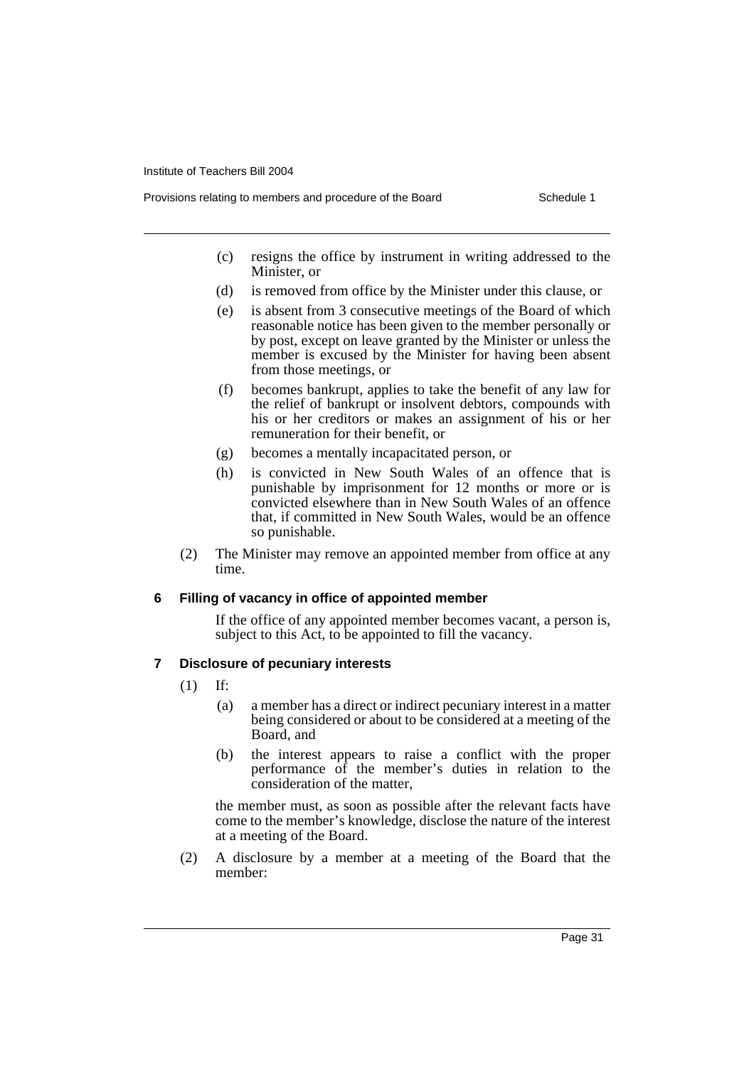- Provisions relating to members and procedure of the Board Schedule 1
	- (c) resigns the office by instrument in writing addressed to the Minister, or
	- (d) is removed from office by the Minister under this clause, or
	- (e) is absent from 3 consecutive meetings of the Board of which reasonable notice has been given to the member personally or by post, except on leave granted by the Minister or unless the member is excused by the Minister for having been absent from those meetings, or
	- (f) becomes bankrupt, applies to take the benefit of any law for the relief of bankrupt or insolvent debtors, compounds with his or her creditors or makes an assignment of his or her remuneration for their benefit, or
	- (g) becomes a mentally incapacitated person, or
	- (h) is convicted in New South Wales of an offence that is punishable by imprisonment for 12 months or more or is convicted elsewhere than in New South Wales of an offence that, if committed in New South Wales, would be an offence so punishable.
	- (2) The Minister may remove an appointed member from office at any time.

### **6 Filling of vacancy in office of appointed member**

If the office of any appointed member becomes vacant, a person is, subject to this Act, to be appointed to fill the vacancy.

### **7 Disclosure of pecuniary interests**

- (1) If:
	- (a) a member has a direct or indirect pecuniary interest in a matter being considered or about to be considered at a meeting of the Board, and
	- (b) the interest appears to raise a conflict with the proper performance of the member's duties in relation to the consideration of the matter,

the member must, as soon as possible after the relevant facts have come to the member's knowledge, disclose the nature of the interest at a meeting of the Board.

(2) A disclosure by a member at a meeting of the Board that the member: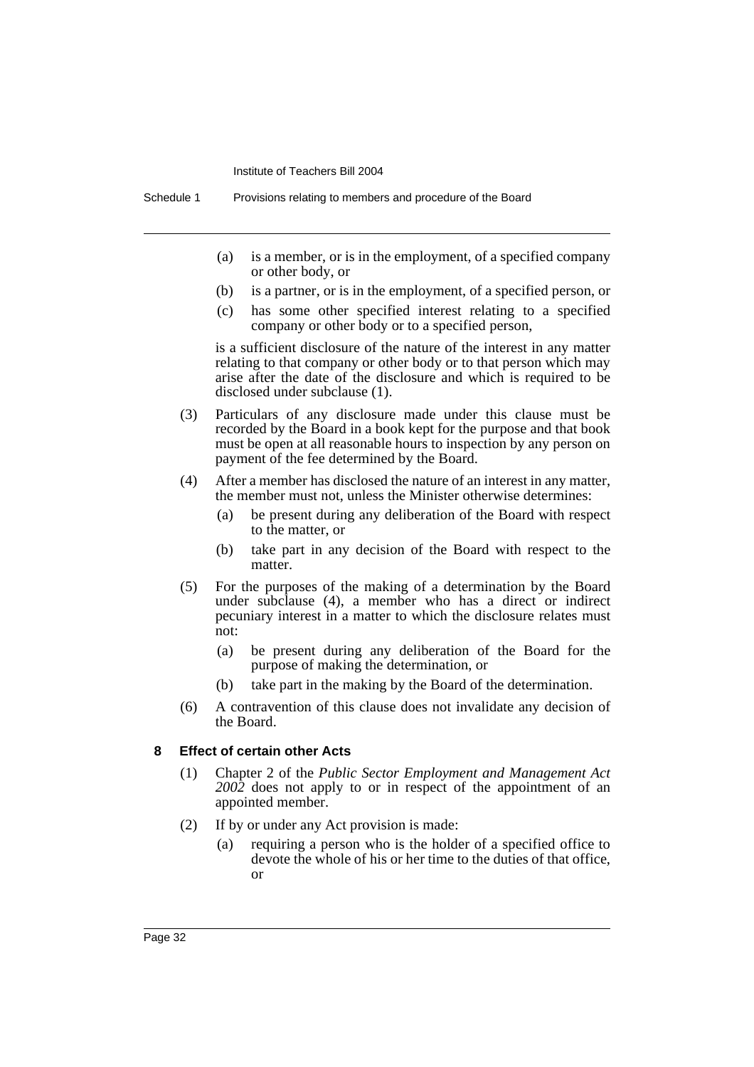- (a) is a member, or is in the employment, of a specified company or other body, or
- (b) is a partner, or is in the employment, of a specified person, or
- (c) has some other specified interest relating to a specified company or other body or to a specified person,

is a sufficient disclosure of the nature of the interest in any matter relating to that company or other body or to that person which may arise after the date of the disclosure and which is required to be disclosed under subclause (1).

- (3) Particulars of any disclosure made under this clause must be recorded by the Board in a book kept for the purpose and that book must be open at all reasonable hours to inspection by any person on payment of the fee determined by the Board.
- (4) After a member has disclosed the nature of an interest in any matter, the member must not, unless the Minister otherwise determines:
	- (a) be present during any deliberation of the Board with respect to the matter, or
	- (b) take part in any decision of the Board with respect to the matter.
- (5) For the purposes of the making of a determination by the Board under subclause (4), a member who has a direct or indirect pecuniary interest in a matter to which the disclosure relates must not:
	- (a) be present during any deliberation of the Board for the purpose of making the determination, or
	- (b) take part in the making by the Board of the determination.
- (6) A contravention of this clause does not invalidate any decision of the Board.

#### **8 Effect of certain other Acts**

- (1) Chapter 2 of the *Public Sector Employment and Management Act 2002* does not apply to or in respect of the appointment of an appointed member.
- (2) If by or under any Act provision is made:
	- (a) requiring a person who is the holder of a specified office to devote the whole of his or her time to the duties of that office, or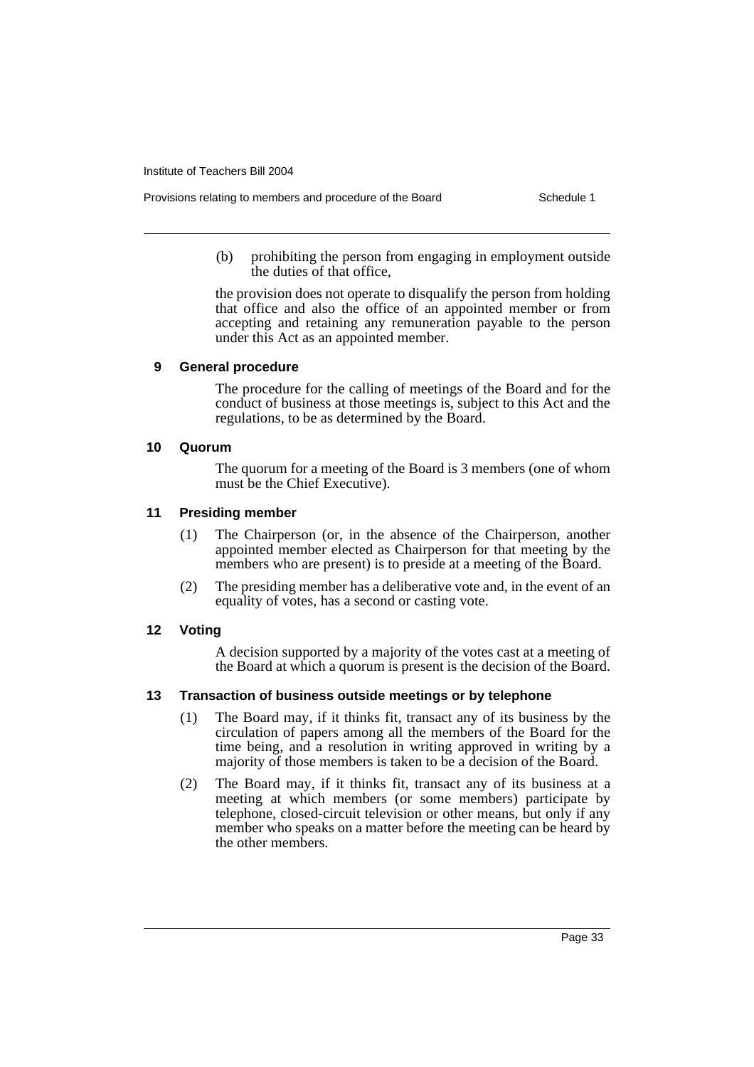Provisions relating to members and procedure of the Board Schedule 1

(b) prohibiting the person from engaging in employment outside the duties of that office,

the provision does not operate to disqualify the person from holding that office and also the office of an appointed member or from accepting and retaining any remuneration payable to the person under this Act as an appointed member.

#### **9 General procedure**

The procedure for the calling of meetings of the Board and for the conduct of business at those meetings is, subject to this Act and the regulations, to be as determined by the Board.

#### **10 Quorum**

The quorum for a meeting of the Board is 3 members (one of whom must be the Chief Executive).

#### **11 Presiding member**

- (1) The Chairperson (or, in the absence of the Chairperson, another appointed member elected as Chairperson for that meeting by the members who are present) is to preside at a meeting of the Board.
- (2) The presiding member has a deliberative vote and, in the event of an equality of votes, has a second or casting vote.

#### **12 Voting**

A decision supported by a majority of the votes cast at a meeting of the Board at which a quorum is present is the decision of the Board.

#### **13 Transaction of business outside meetings or by telephone**

- (1) The Board may, if it thinks fit, transact any of its business by the circulation of papers among all the members of the Board for the time being, and a resolution in writing approved in writing by a majority of those members is taken to be a decision of the Board.
- (2) The Board may, if it thinks fit, transact any of its business at a meeting at which members (or some members) participate by telephone, closed-circuit television or other means, but only if any member who speaks on a matter before the meeting can be heard by the other members.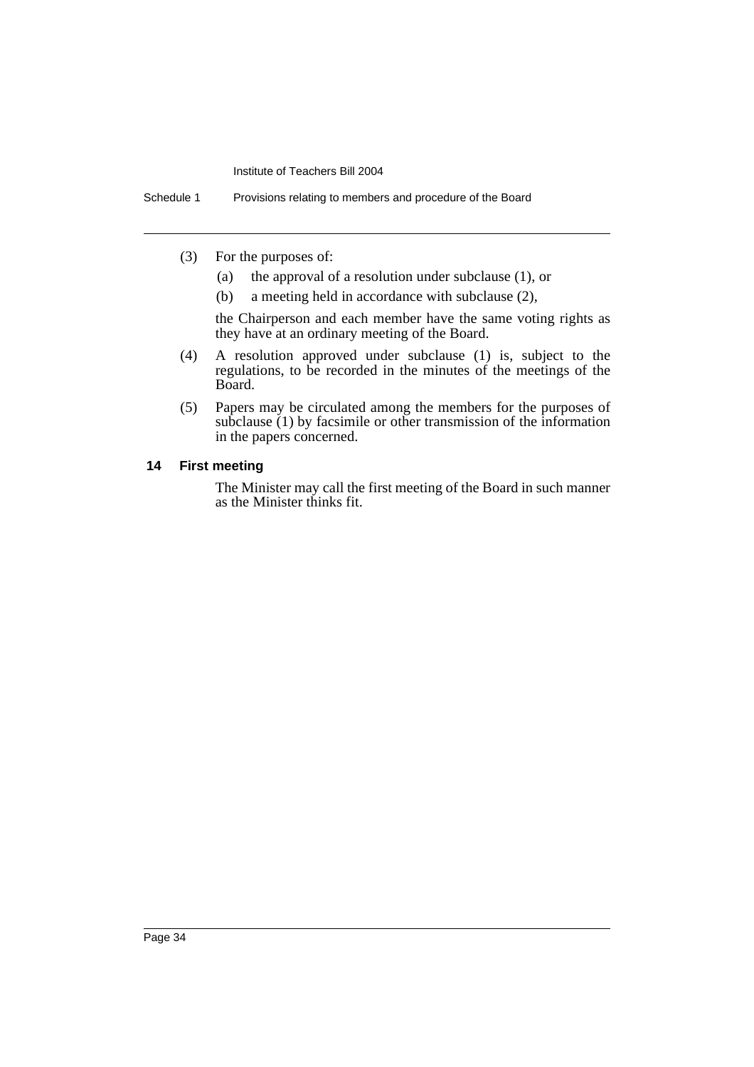Schedule 1 Provisions relating to members and procedure of the Board

- (3) For the purposes of:
	- (a) the approval of a resolution under subclause (1), or
	- (b) a meeting held in accordance with subclause (2),

the Chairperson and each member have the same voting rights as they have at an ordinary meeting of the Board.

- (4) A resolution approved under subclause (1) is, subject to the regulations, to be recorded in the minutes of the meetings of the Board.
- (5) Papers may be circulated among the members for the purposes of subclause (1) by facsimile or other transmission of the information in the papers concerned.

#### **14 First meeting**

The Minister may call the first meeting of the Board in such manner as the Minister thinks fit.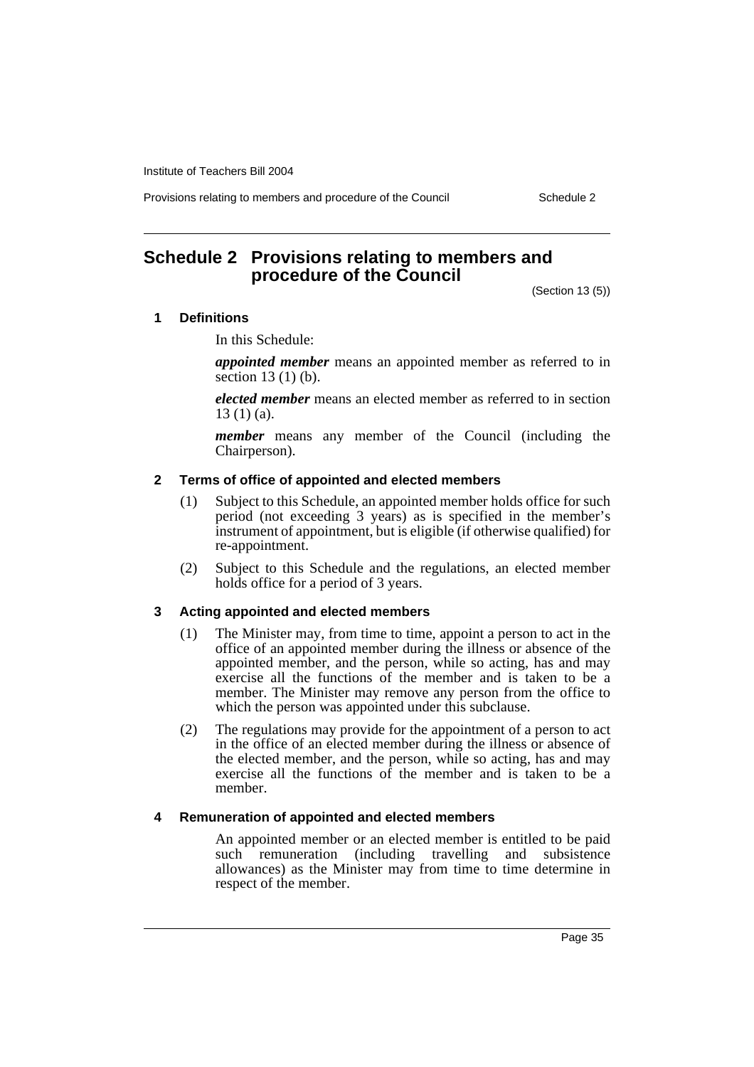Provisions relating to members and procedure of the Council Schedule 2

### **Schedule 2 Provisions relating to members and procedure of the Council**

(Section 13 (5))

#### **1 Definitions**

In this Schedule:

*appointed member* means an appointed member as referred to in section  $13(1)(b)$ .

*elected member* means an elected member as referred to in section 13 (1) (a).

*member* means any member of the Council (including the Chairperson).

#### **2 Terms of office of appointed and elected members**

- (1) Subject to this Schedule, an appointed member holds office for such period (not exceeding 3 years) as is specified in the member's instrument of appointment, but is eligible (if otherwise qualified) for re-appointment.
- (2) Subject to this Schedule and the regulations, an elected member holds office for a period of 3 years.

#### **3 Acting appointed and elected members**

- (1) The Minister may, from time to time, appoint a person to act in the office of an appointed member during the illness or absence of the appointed member, and the person, while so acting, has and may exercise all the functions of the member and is taken to be a member. The Minister may remove any person from the office to which the person was appointed under this subclause.
- (2) The regulations may provide for the appointment of a person to act in the office of an elected member during the illness or absence of the elected member, and the person, while so acting, has and may exercise all the functions of the member and is taken to be a member.

#### **4 Remuneration of appointed and elected members**

An appointed member or an elected member is entitled to be paid such remuneration (including travelling and subsistence allowances) as the Minister may from time to time determine in respect of the member.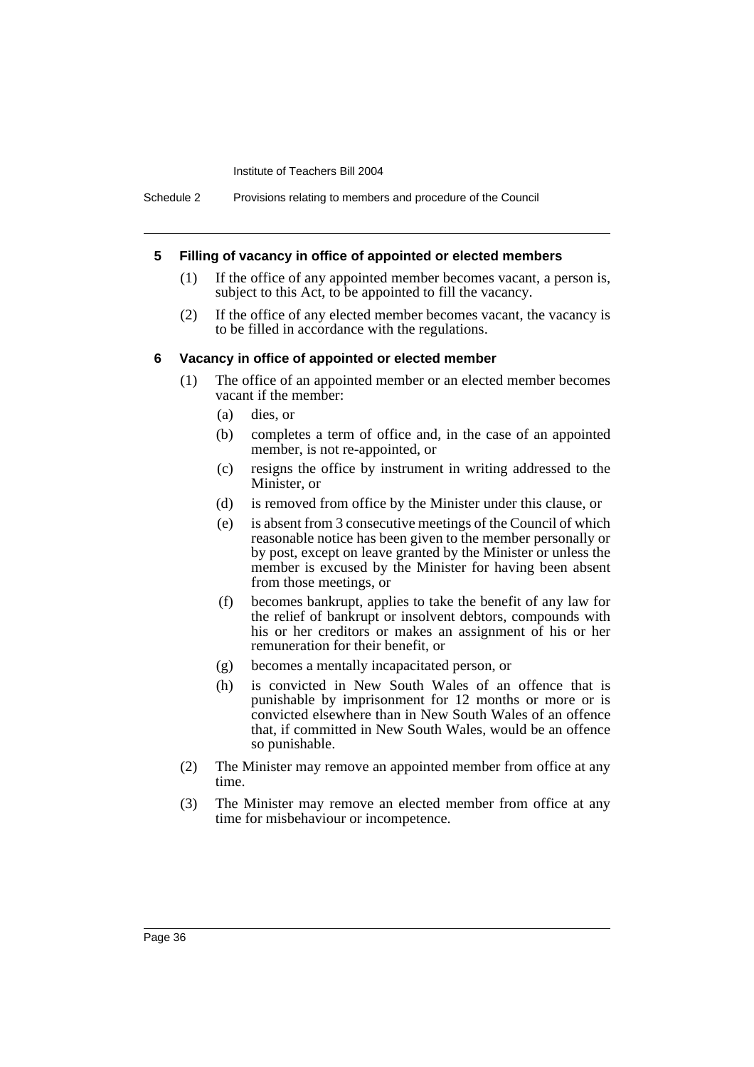#### **5 Filling of vacancy in office of appointed or elected members**

- (1) If the office of any appointed member becomes vacant, a person is, subject to this Act, to be appointed to fill the vacancy.
- (2) If the office of any elected member becomes vacant, the vacancy is to be filled in accordance with the regulations.

#### **6 Vacancy in office of appointed or elected member**

- (1) The office of an appointed member or an elected member becomes vacant if the member:
	- (a) dies, or
	- (b) completes a term of office and, in the case of an appointed member, is not re-appointed, or
	- (c) resigns the office by instrument in writing addressed to the Minister, or
	- (d) is removed from office by the Minister under this clause, or
	- (e) is absent from 3 consecutive meetings of the Council of which reasonable notice has been given to the member personally or by post, except on leave granted by the Minister or unless the member is excused by the Minister for having been absent from those meetings, or
	- (f) becomes bankrupt, applies to take the benefit of any law for the relief of bankrupt or insolvent debtors, compounds with his or her creditors or makes an assignment of his or her remuneration for their benefit, or
	- (g) becomes a mentally incapacitated person, or
	- (h) is convicted in New South Wales of an offence that is punishable by imprisonment for 12 months or more or is convicted elsewhere than in New South Wales of an offence that, if committed in New South Wales, would be an offence so punishable.
- (2) The Minister may remove an appointed member from office at any time.
- (3) The Minister may remove an elected member from office at any time for misbehaviour or incompetence.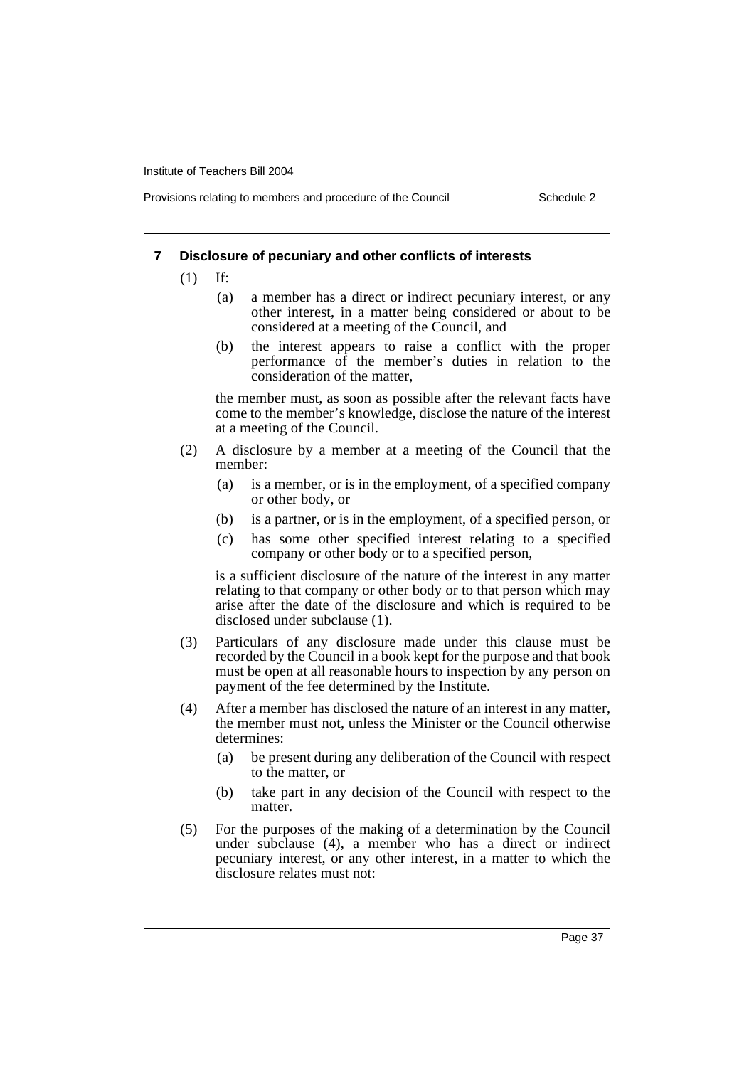Provisions relating to members and procedure of the Council Schedule 2

#### **7 Disclosure of pecuniary and other conflicts of interests**

- (1) If:
	- (a) a member has a direct or indirect pecuniary interest, or any other interest, in a matter being considered or about to be considered at a meeting of the Council, and
	- (b) the interest appears to raise a conflict with the proper performance of the member's duties in relation to the consideration of the matter,

the member must, as soon as possible after the relevant facts have come to the member's knowledge, disclose the nature of the interest at a meeting of the Council.

- (2) A disclosure by a member at a meeting of the Council that the member:
	- (a) is a member, or is in the employment, of a specified company or other body, or
	- (b) is a partner, or is in the employment, of a specified person, or
	- (c) has some other specified interest relating to a specified company or other body or to a specified person,

is a sufficient disclosure of the nature of the interest in any matter relating to that company or other body or to that person which may arise after the date of the disclosure and which is required to be disclosed under subclause (1).

- (3) Particulars of any disclosure made under this clause must be recorded by the Council in a book kept for the purpose and that book must be open at all reasonable hours to inspection by any person on payment of the fee determined by the Institute.
- (4) After a member has disclosed the nature of an interest in any matter, the member must not, unless the Minister or the Council otherwise determines:
	- (a) be present during any deliberation of the Council with respect to the matter, or
	- (b) take part in any decision of the Council with respect to the matter.
- (5) For the purposes of the making of a determination by the Council under subclause (4), a member who has a direct or indirect pecuniary interest, or any other interest, in a matter to which the disclosure relates must not: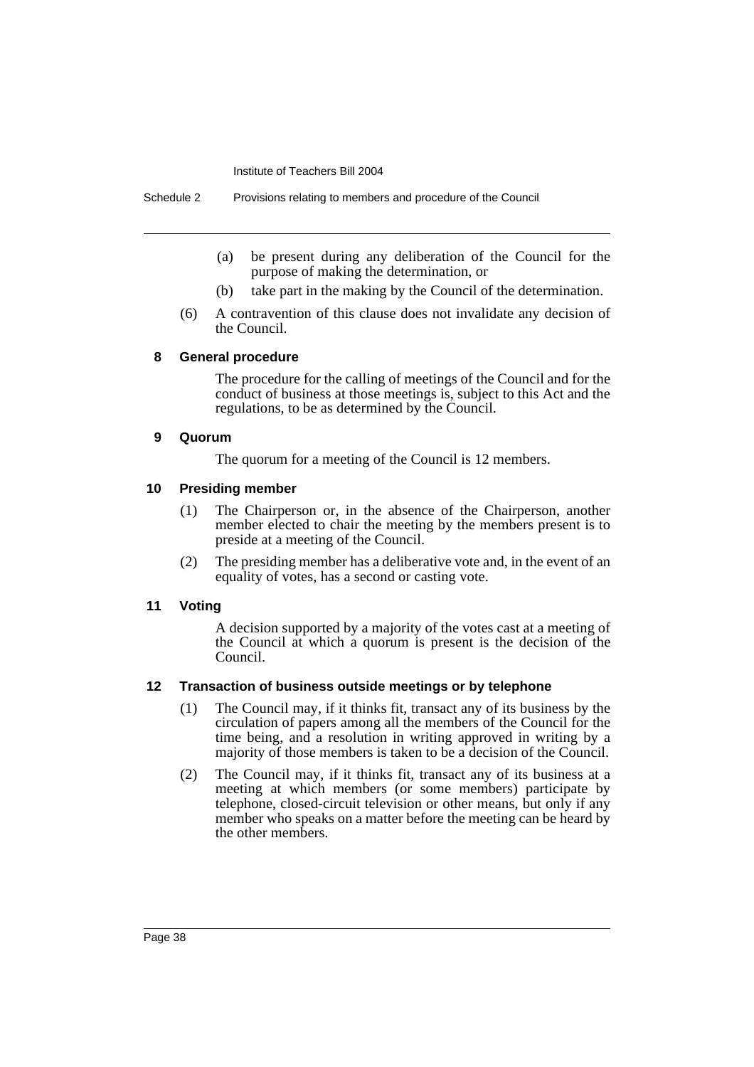- (a) be present during any deliberation of the Council for the purpose of making the determination, or
- (b) take part in the making by the Council of the determination.
- (6) A contravention of this clause does not invalidate any decision of the Council.

#### **8 General procedure**

The procedure for the calling of meetings of the Council and for the conduct of business at those meetings is, subject to this Act and the regulations, to be as determined by the Council.

#### **9 Quorum**

The quorum for a meeting of the Council is 12 members.

#### **10 Presiding member**

- (1) The Chairperson or, in the absence of the Chairperson, another member elected to chair the meeting by the members present is to preside at a meeting of the Council.
- (2) The presiding member has a deliberative vote and, in the event of an equality of votes, has a second or casting vote.

#### **11 Voting**

A decision supported by a majority of the votes cast at a meeting of the Council at which a quorum is present is the decision of the Council.

#### **12 Transaction of business outside meetings or by telephone**

- (1) The Council may, if it thinks fit, transact any of its business by the circulation of papers among all the members of the Council for the time being, and a resolution in writing approved in writing by a majority of those members is taken to be a decision of the Council.
- (2) The Council may, if it thinks fit, transact any of its business at a meeting at which members (or some members) participate by telephone, closed-circuit television or other means, but only if any member who speaks on a matter before the meeting can be heard by the other members.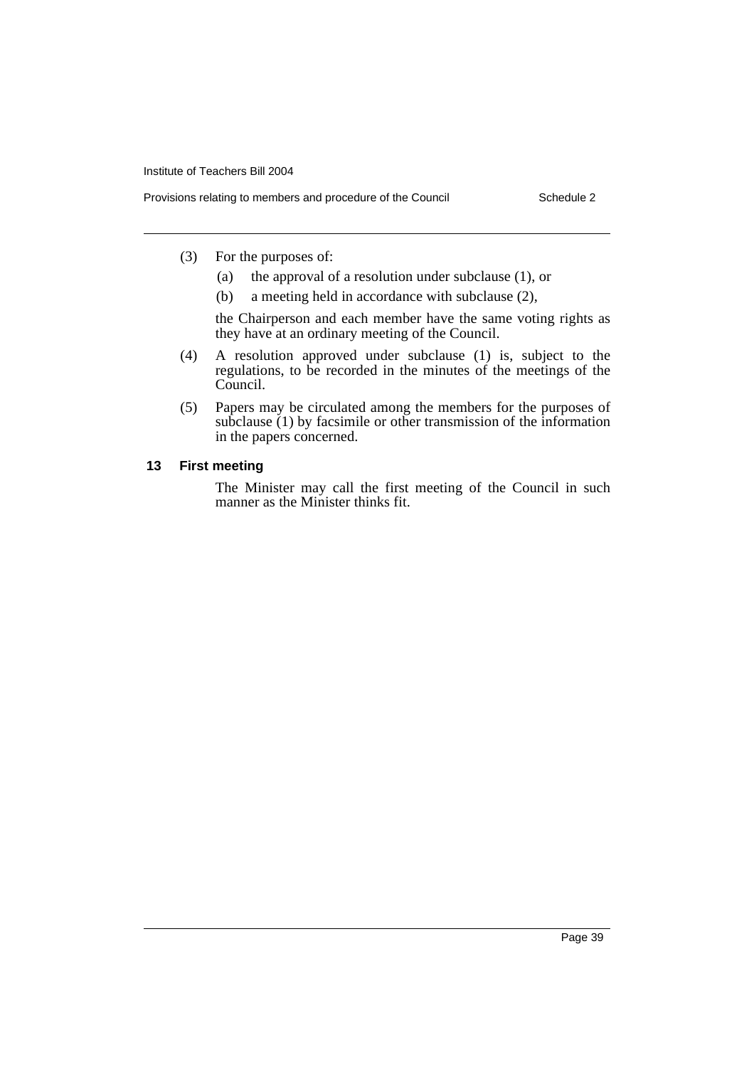- (3) For the purposes of:
	- (a) the approval of a resolution under subclause (1), or
	- (b) a meeting held in accordance with subclause (2),

the Chairperson and each member have the same voting rights as they have at an ordinary meeting of the Council.

- (4) A resolution approved under subclause (1) is, subject to the regulations, to be recorded in the minutes of the meetings of the Council.
- (5) Papers may be circulated among the members for the purposes of subclause (1) by facsimile or other transmission of the information in the papers concerned.

#### **13 First meeting**

The Minister may call the first meeting of the Council in such manner as the Minister thinks fit.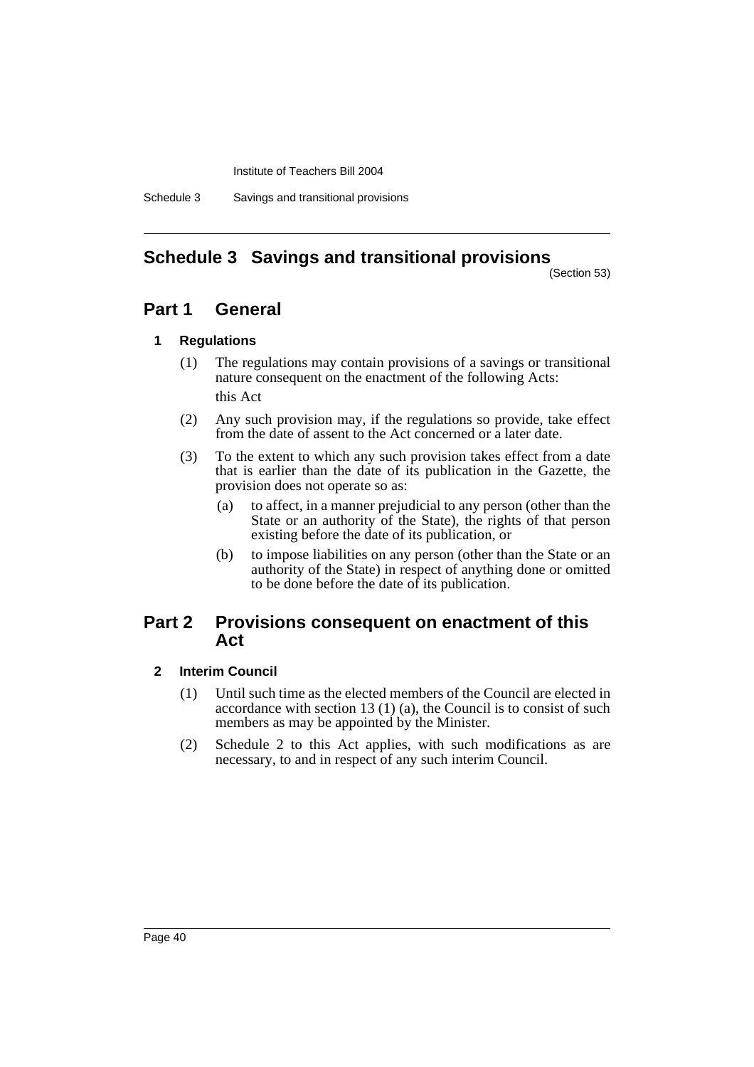Schedule 3 Savings and transitional provisions

## **Schedule 3 Savings and transitional provisions**

(Section 53)

### **Part 1 General**

### **1 Regulations**

- (1) The regulations may contain provisions of a savings or transitional nature consequent on the enactment of the following Acts: this Act
- (2) Any such provision may, if the regulations so provide, take effect from the date of assent to the Act concerned or a later date.
- (3) To the extent to which any such provision takes effect from a date that is earlier than the date of its publication in the Gazette, the provision does not operate so as:
	- (a) to affect, in a manner prejudicial to any person (other than the State or an authority of the State), the rights of that person existing before the date of its publication, or
	- (b) to impose liabilities on any person (other than the State or an authority of the State) in respect of anything done or omitted to be done before the date of its publication.

### **Part 2 Provisions consequent on enactment of this Act**

### **2 Interim Council**

- (1) Until such time as the elected members of the Council are elected in accordance with section 13 (1) (a), the Council is to consist of such members as may be appointed by the Minister.
- (2) Schedule 2 to this Act applies, with such modifications as are necessary, to and in respect of any such interim Council.